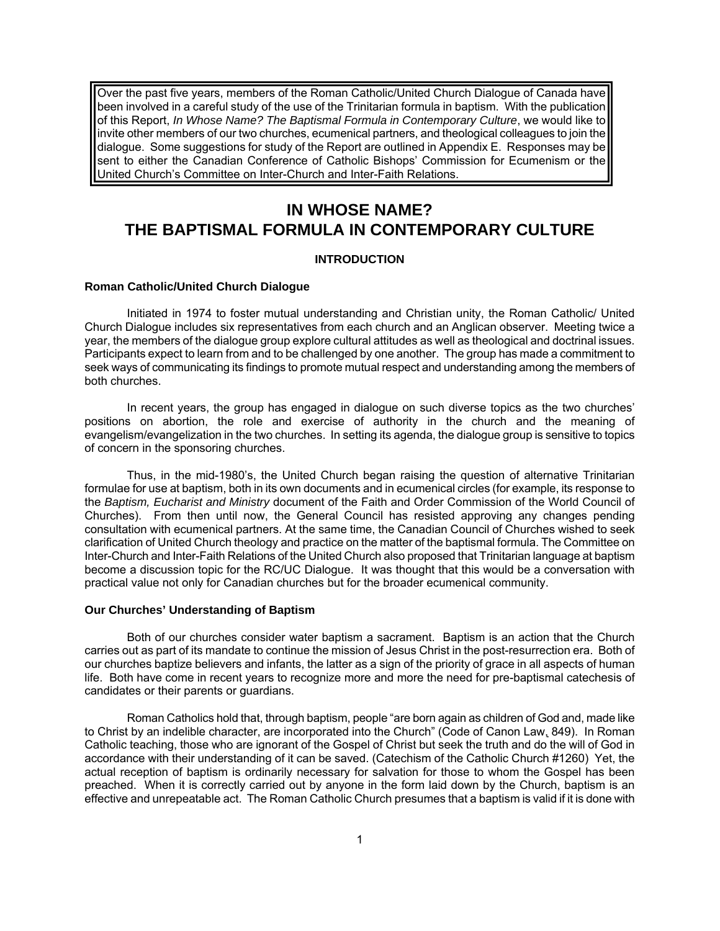Over the past five years, members of the Roman Catholic/United Church Dialogue of Canada have been involved in a careful study of the use of the Trinitarian formula in baptism. With the publication of this Report, *In Whose Name? The Baptismal Formula in Contemporary Culture*, we would like to invite other members of our two churches, ecumenical partners, and theological colleagues to join the dialogue. Some suggestions for study of the Report are outlined in Appendix E. Responses may be sent to either the Canadian Conference of Catholic Bishops' Commission for Ecumenism or the United Church's Committee on Inter-Church and Inter-Faith Relations.

# **IN WHOSE NAME? THE BAPTISMAL FORMULA IN CONTEMPORARY CULTURE**

# **INTRODUCTION**

### **Roman Catholic/United Church Dialogue**

Initiated in 1974 to foster mutual understanding and Christian unity, the Roman Catholic/ United Church Dialogue includes six representatives from each church and an Anglican observer. Meeting twice a year, the members of the dialogue group explore cultural attitudes as well as theological and doctrinal issues. Participants expect to learn from and to be challenged by one another. The group has made a commitment to seek ways of communicating its findings to promote mutual respect and understanding among the members of both churches.

In recent years, the group has engaged in dialogue on such diverse topics as the two churches' positions on abortion, the role and exercise of authority in the church and the meaning of evangelism/evangelization in the two churches. In setting its agenda, the dialogue group is sensitive to topics of concern in the sponsoring churches.

Thus, in the mid-1980's, the United Church began raising the question of alternative Trinitarian formulae for use at baptism, both in its own documents and in ecumenical circles (for example, its response to the *Baptism, Eucharist and Ministry* document of the Faith and Order Commission of the World Council of Churches). From then until now, the General Council has resisted approving any changes pending consultation with ecumenical partners. At the same time, the Canadian Council of Churches wished to seek clarification of United Church theology and practice on the matter of the baptismal formula. The Committee on Inter-Church and Inter-Faith Relations of the United Church also proposed that Trinitarian language at baptism become a discussion topic for the RC/UC Dialogue. It was thought that this would be a conversation with practical value not only for Canadian churches but for the broader ecumenical community.

### **Our Churches' Understanding of Baptism**

Both of our churches consider water baptism a sacrament. Baptism is an action that the Church carries out as part of its mandate to continue the mission of Jesus Christ in the post-resurrection era. Both of our churches baptize believers and infants, the latter as a sign of the priority of grace in all aspects of human life. Both have come in recent years to recognize more and more the need for pre-baptismal catechesis of candidates or their parents or guardians.

Roman Catholics hold that, through baptism, people "are born again as children of God and, made like to Christ by an indelible character, are incorporated into the Church" (Code of Canon Law, 849). In Roman Catholic teaching, those who are ignorant of the Gospel of Christ but seek the truth and do the will of God in accordance with their understanding of it can be saved. (Catechism of the Catholic Church #1260) Yet, the actual reception of baptism is ordinarily necessary for salvation for those to whom the Gospel has been preached. When it is correctly carried out by anyone in the form laid down by the Church, baptism is an effective and unrepeatable act. The Roman Catholic Church presumes that a baptism is valid if it is done with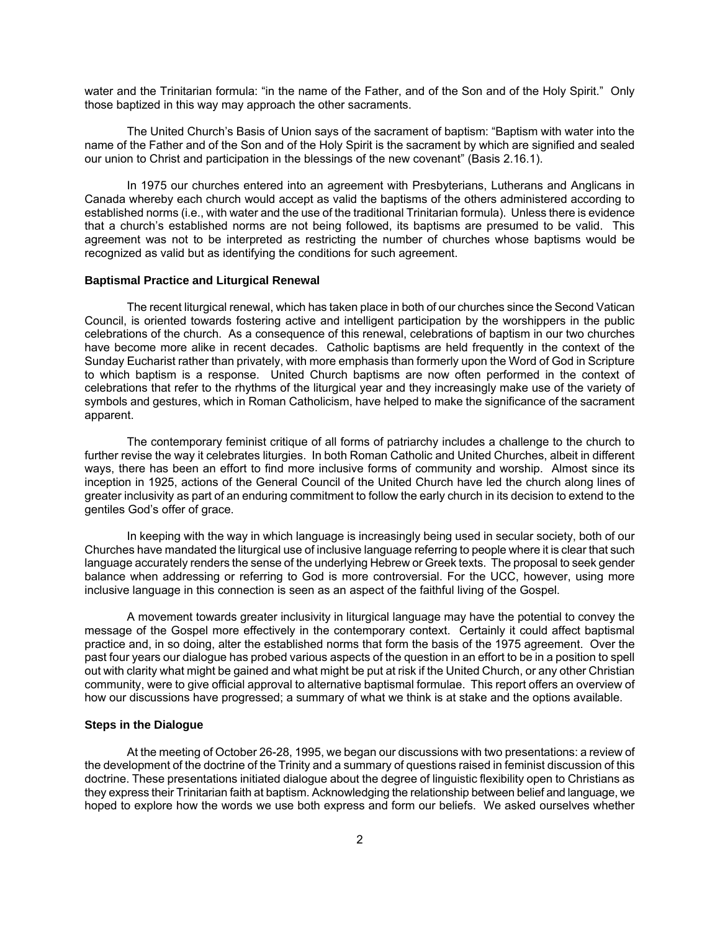water and the Trinitarian formula: "in the name of the Father, and of the Son and of the Holy Spirit." Only those baptized in this way may approach the other sacraments.

The United Church's Basis of Union says of the sacrament of baptism: "Baptism with water into the name of the Father and of the Son and of the Holy Spirit is the sacrament by which are signified and sealed our union to Christ and participation in the blessings of the new covenant" (Basis 2.16.1).

In 1975 our churches entered into an agreement with Presbyterians, Lutherans and Anglicans in Canada whereby each church would accept as valid the baptisms of the others administered according to established norms (i.e., with water and the use of the traditional Trinitarian formula). Unless there is evidence that a church's established norms are not being followed, its baptisms are presumed to be valid. This agreement was not to be interpreted as restricting the number of churches whose baptisms would be recognized as valid but as identifying the conditions for such agreement.

### **Baptismal Practice and Liturgical Renewal**

The recent liturgical renewal, which has taken place in both of our churches since the Second Vatican Council, is oriented towards fostering active and intelligent participation by the worshippers in the public celebrations of the church. As a consequence of this renewal, celebrations of baptism in our two churches have become more alike in recent decades. Catholic baptisms are held frequently in the context of the Sunday Eucharist rather than privately, with more emphasis than formerly upon the Word of God in Scripture to which baptism is a response. United Church baptisms are now often performed in the context of celebrations that refer to the rhythms of the liturgical year and they increasingly make use of the variety of symbols and gestures, which in Roman Catholicism, have helped to make the significance of the sacrament apparent.

The contemporary feminist critique of all forms of patriarchy includes a challenge to the church to further revise the way it celebrates liturgies. In both Roman Catholic and United Churches, albeit in different ways, there has been an effort to find more inclusive forms of community and worship. Almost since its inception in 1925, actions of the General Council of the United Church have led the church along lines of greater inclusivity as part of an enduring commitment to follow the early church in its decision to extend to the gentiles God's offer of grace.

In keeping with the way in which language is increasingly being used in secular society, both of our Churches have mandated the liturgical use of inclusive language referring to people where it is clear that such language accurately renders the sense of the underlying Hebrew or Greek texts. The proposal to seek gender balance when addressing or referring to God is more controversial. For the UCC, however, using more inclusive language in this connection is seen as an aspect of the faithful living of the Gospel.

A movement towards greater inclusivity in liturgical language may have the potential to convey the message of the Gospel more effectively in the contemporary context. Certainly it could affect baptismal practice and, in so doing, alter the established norms that form the basis of the 1975 agreement. Over the past four years our dialogue has probed various aspects of the question in an effort to be in a position to spell out with clarity what might be gained and what might be put at risk if the United Church, or any other Christian community, were to give official approval to alternative baptismal formulae. This report offers an overview of how our discussions have progressed; a summary of what we think is at stake and the options available.

### **Steps in the Dialogue**

At the meeting of October 26-28, 1995, we began our discussions with two presentations: a review of the development of the doctrine of the Trinity and a summary of questions raised in feminist discussion of this doctrine. These presentations initiated dialogue about the degree of linguistic flexibility open to Christians as they express their Trinitarian faith at baptism. Acknowledging the relationship between belief and language, we hoped to explore how the words we use both express and form our beliefs. We asked ourselves whether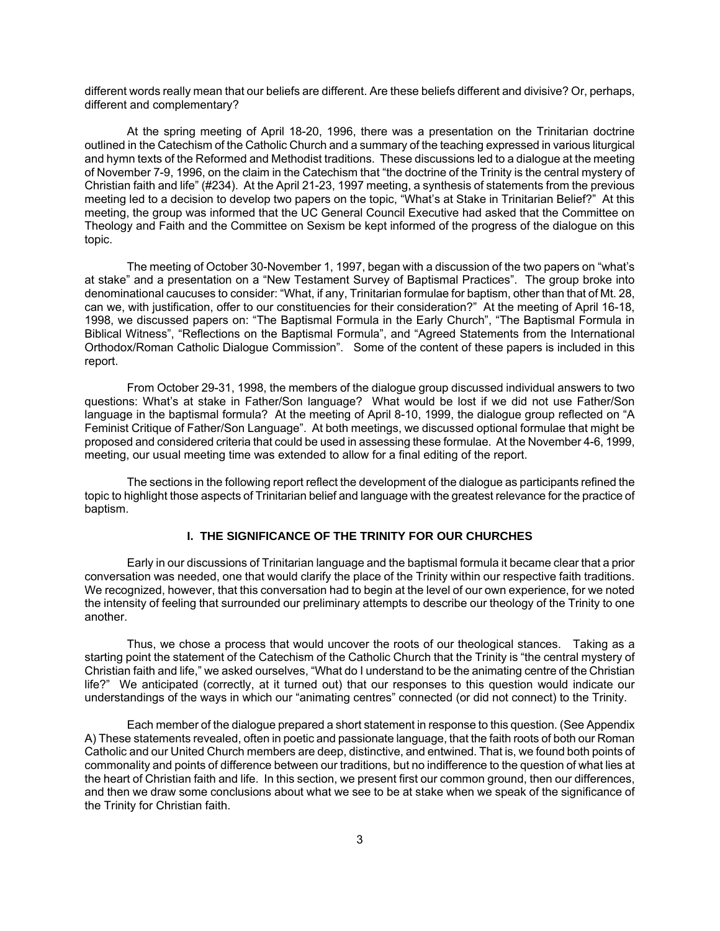different words really mean that our beliefs are different. Are these beliefs different and divisive? Or, perhaps, different and complementary?

At the spring meeting of April 18-20, 1996, there was a presentation on the Trinitarian doctrine outlined in the Catechism of the Catholic Church and a summary of the teaching expressed in various liturgical and hymn texts of the Reformed and Methodist traditions. These discussions led to a dialogue at the meeting of November 7-9, 1996, on the claim in the Catechism that "the doctrine of the Trinity is the central mystery of Christian faith and life" (#234). At the April 21-23, 1997 meeting, a synthesis of statements from the previous meeting led to a decision to develop two papers on the topic, "What's at Stake in Trinitarian Belief?" At this meeting, the group was informed that the UC General Council Executive had asked that the Committee on Theology and Faith and the Committee on Sexism be kept informed of the progress of the dialogue on this topic.

The meeting of October 30-November 1, 1997, began with a discussion of the two papers on "what's at stake" and a presentation on a "New Testament Survey of Baptismal Practices". The group broke into denominational caucuses to consider: "What, if any, Trinitarian formulae for baptism, other than that of Mt. 28, can we, with justification, offer to our constituencies for their consideration?" At the meeting of April 16-18, 1998, we discussed papers on: "The Baptismal Formula in the Early Church", "The Baptismal Formula in Biblical Witness", "Reflections on the Baptismal Formula", and "Agreed Statements from the International Orthodox/Roman Catholic Dialogue Commission". Some of the content of these papers is included in this report.

From October 29-31, 1998, the members of the dialogue group discussed individual answers to two questions: What's at stake in Father/Son language? What would be lost if we did not use Father/Son language in the baptismal formula? At the meeting of April 8-10, 1999, the dialogue group reflected on "A Feminist Critique of Father/Son Language". At both meetings, we discussed optional formulae that might be proposed and considered criteria that could be used in assessing these formulae. At the November 4-6, 1999, meeting, our usual meeting time was extended to allow for a final editing of the report.

The sections in the following report reflect the development of the dialogue as participants refined the topic to highlight those aspects of Trinitarian belief and language with the greatest relevance for the practice of baptism.

# **I. THE SIGNIFICANCE OF THE TRINITY FOR OUR CHURCHES**

Early in our discussions of Trinitarian language and the baptismal formula it became clear that a prior conversation was needed, one that would clarify the place of the Trinity within our respective faith traditions. We recognized, however, that this conversation had to begin at the level of our own experience, for we noted the intensity of feeling that surrounded our preliminary attempts to describe our theology of the Trinity to one another.

Thus, we chose a process that would uncover the roots of our theological stances. Taking as a starting point the statement of the Catechism of the Catholic Church that the Trinity is "the central mystery of Christian faith and life," we asked ourselves, "What do I understand to be the animating centre of the Christian life?" We anticipated (correctly, at it turned out) that our responses to this question would indicate our understandings of the ways in which our "animating centres" connected (or did not connect) to the Trinity.

Each member of the dialogue prepared a short statement in response to this question. (See Appendix A) These statements revealed, often in poetic and passionate language, that the faith roots of both our Roman Catholic and our United Church members are deep, distinctive, and entwined. That is, we found both points of commonality and points of difference between our traditions, but no indifference to the question of what lies at the heart of Christian faith and life. In this section, we present first our common ground, then our differences, and then we draw some conclusions about what we see to be at stake when we speak of the significance of the Trinity for Christian faith.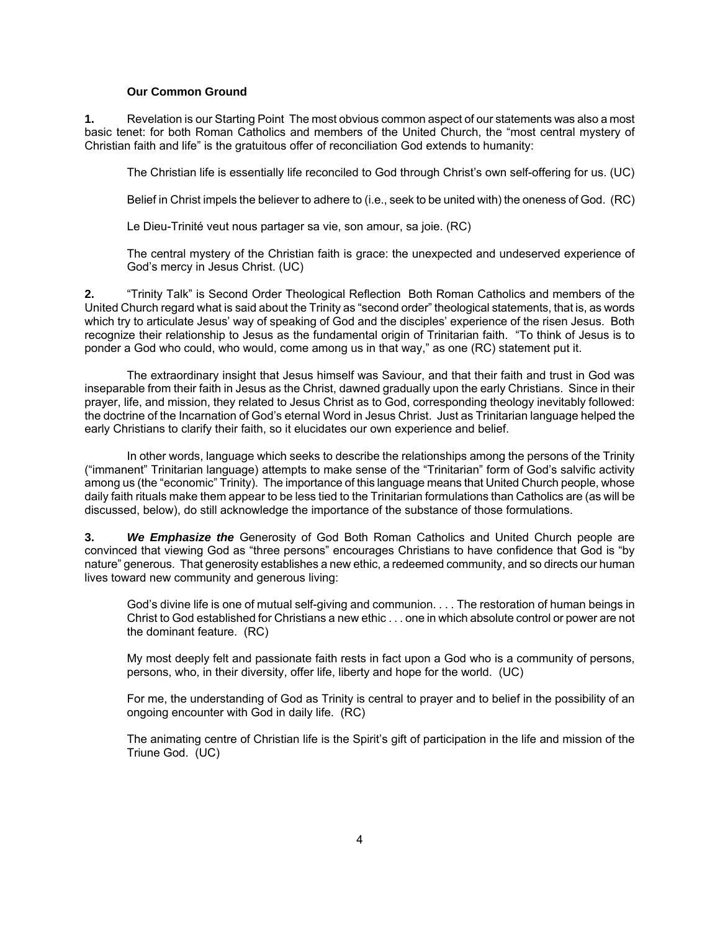#### **Our Common Ground**

**1.** Revelation is our Starting Point The most obvious common aspect of our statements was also a most basic tenet: for both Roman Catholics and members of the United Church, the "most central mystery of Christian faith and life" is the gratuitous offer of reconciliation God extends to humanity:

The Christian life is essentially life reconciled to God through Christ's own self-offering for us. (UC)

Belief in Christ impels the believer to adhere to (i.e., seek to be united with) the oneness of God. (RC)

Le Dieu-Trinité veut nous partager sa vie, son amour, sa joie. (RC)

The central mystery of the Christian faith is grace: the unexpected and undeserved experience of God's mercy in Jesus Christ. (UC)

**2.** "Trinity Talk" is Second Order Theological Reflection Both Roman Catholics and members of the United Church regard what is said about the Trinity as "second order" theological statements, that is, as words which try to articulate Jesus' way of speaking of God and the disciples' experience of the risen Jesus. Both recognize their relationship to Jesus as the fundamental origin of Trinitarian faith. "To think of Jesus is to ponder a God who could, who would, come among us in that way," as one (RC) statement put it.

The extraordinary insight that Jesus himself was Saviour, and that their faith and trust in God was inseparable from their faith in Jesus as the Christ, dawned gradually upon the early Christians. Since in their prayer, life, and mission, they related to Jesus Christ as to God, corresponding theology inevitably followed: the doctrine of the Incarnation of God's eternal Word in Jesus Christ. Just as Trinitarian language helped the early Christians to clarify their faith, so it elucidates our own experience and belief.

In other words, language which seeks to describe the relationships among the persons of the Trinity ("immanent" Trinitarian language) attempts to make sense of the "Trinitarian" form of God's salvific activity among us (the "economic" Trinity). The importance of this language means that United Church people, whose daily faith rituals make them appear to be less tied to the Trinitarian formulations than Catholics are (as will be discussed, below), do still acknowledge the importance of the substance of those formulations.

**3.** *We Emphasize the* Generosity of God Both Roman Catholics and United Church people are convinced that viewing God as "three persons" encourages Christians to have confidence that God is "by nature" generous. That generosity establishes a new ethic, a redeemed community, and so directs our human lives toward new community and generous living:

God's divine life is one of mutual self-giving and communion. . . . The restoration of human beings in Christ to God established for Christians a new ethic . . . one in which absolute control or power are not the dominant feature. (RC)

My most deeply felt and passionate faith rests in fact upon a God who is a community of persons, persons, who, in their diversity, offer life, liberty and hope for the world. (UC)

For me, the understanding of God as Trinity is central to prayer and to belief in the possibility of an ongoing encounter with God in daily life. (RC)

The animating centre of Christian life is the Spirit's gift of participation in the life and mission of the Triune God. (UC)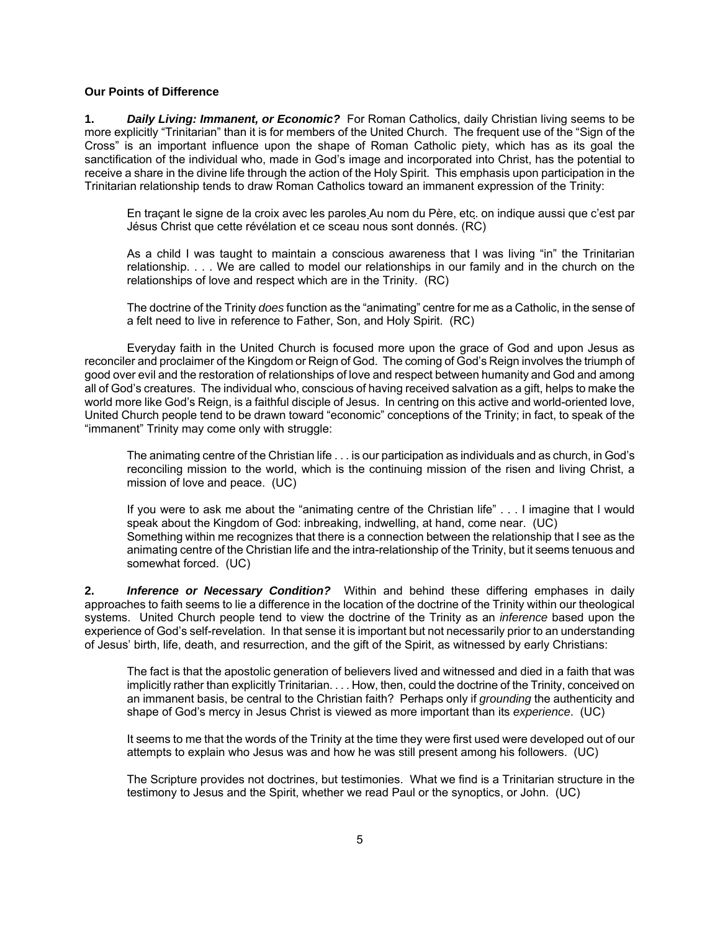### **Our Points of Difference**

**1.** *Daily Living: Immanent, or Economic?* For Roman Catholics, daily Christian living seems to be more explicitly "Trinitarian" than it is for members of the United Church. The frequent use of the "Sign of the Cross" is an important influence upon the shape of Roman Catholic piety, which has as its goal the sanctification of the individual who, made in God's image and incorporated into Christ, has the potential to receive a share in the divine life through the action of the Holy Spirit. This emphasis upon participation in the Trinitarian relationship tends to draw Roman Catholics toward an immanent expression of the Trinity:

En traçant le signe de la croix avec les paroles Au nom du Père, etc. on indique aussi que c'est par Jésus Christ que cette révélation et ce sceau nous sont donnés. (RC)

As a child I was taught to maintain a conscious awareness that I was living "in" the Trinitarian relationship. . . . We are called to model our relationships in our family and in the church on the relationships of love and respect which are in the Trinity. (RC)

The doctrine of the Trinity *does* function as the "animating" centre for me as a Catholic, in the sense of a felt need to live in reference to Father, Son, and Holy Spirit. (RC)

Everyday faith in the United Church is focused more upon the grace of God and upon Jesus as reconciler and proclaimer of the Kingdom or Reign of God. The coming of God's Reign involves the triumph of good over evil and the restoration of relationships of love and respect between humanity and God and among all of God's creatures. The individual who, conscious of having received salvation as a gift, helps to make the world more like God's Reign, is a faithful disciple of Jesus. In centring on this active and world-oriented love, United Church people tend to be drawn toward "economic" conceptions of the Trinity; in fact, to speak of the "immanent" Trinity may come only with struggle:

The animating centre of the Christian life . . . is our participation as individuals and as church, in God's reconciling mission to the world, which is the continuing mission of the risen and living Christ, a mission of love and peace. (UC)

If you were to ask me about the "animating centre of the Christian life" . . . I imagine that I would speak about the Kingdom of God: inbreaking, indwelling, at hand, come near. (UC) Something within me recognizes that there is a connection between the relationship that I see as the animating centre of the Christian life and the intra-relationship of the Trinity, but it seems tenuous and somewhat forced. (UC)

**2.** *Inference or Necessary Condition?* Within and behind these differing emphases in daily approaches to faith seems to lie a difference in the location of the doctrine of the Trinity within our theological systems. United Church people tend to view the doctrine of the Trinity as an *inference* based upon the experience of God's self-revelation. In that sense it is important but not necessarily prior to an understanding of Jesus' birth, life, death, and resurrection, and the gift of the Spirit, as witnessed by early Christians:

The fact is that the apostolic generation of believers lived and witnessed and died in a faith that was implicitly rather than explicitly Trinitarian. . . . How, then, could the doctrine of the Trinity, conceived on an immanent basis, be central to the Christian faith? Perhaps only if *grounding* the authenticity and shape of God's mercy in Jesus Christ is viewed as more important than its *experience*. (UC)

It seems to me that the words of the Trinity at the time they were first used were developed out of our attempts to explain who Jesus was and how he was still present among his followers. (UC)

The Scripture provides not doctrines, but testimonies. What we find is a Trinitarian structure in the testimony to Jesus and the Spirit, whether we read Paul or the synoptics, or John. (UC)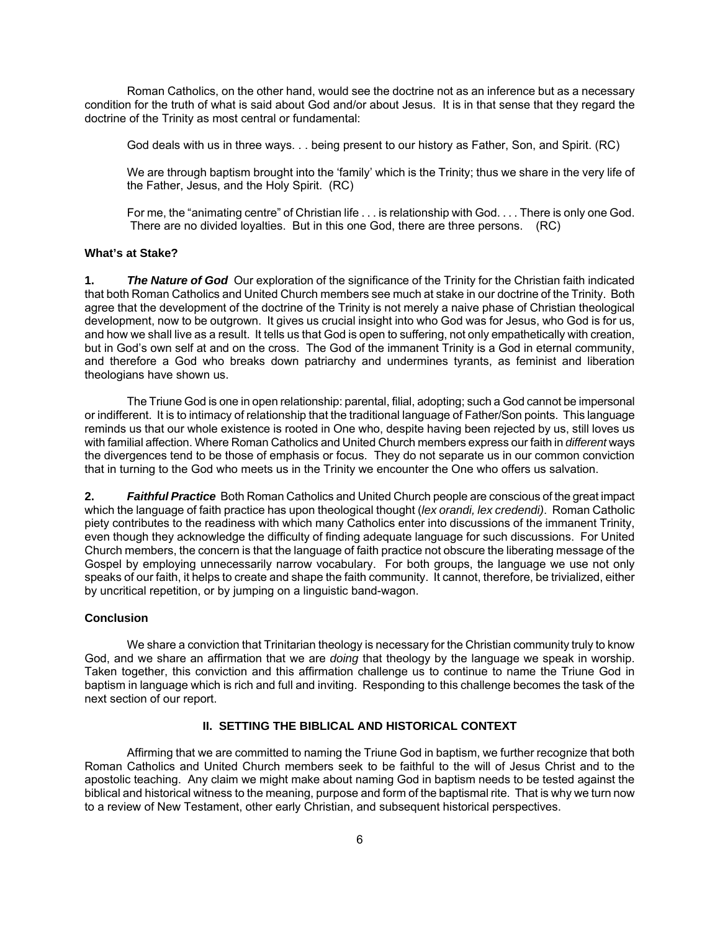Roman Catholics, on the other hand, would see the doctrine not as an inference but as a necessary condition for the truth of what is said about God and/or about Jesus. It is in that sense that they regard the doctrine of the Trinity as most central or fundamental:

God deals with us in three ways. . . being present to our history as Father, Son, and Spirit. (RC)

We are through baptism brought into the 'family' which is the Trinity; thus we share in the very life of the Father, Jesus, and the Holy Spirit. (RC)

For me, the "animating centre" of Christian life . . . is relationship with God. . . . There is only one God. There are no divided loyalties. But in this one God, there are three persons. (RC)

# **What's at Stake?**

**1.** *The Nature of God* Our exploration of the significance of the Trinity for the Christian faith indicated that both Roman Catholics and United Church members see much at stake in our doctrine of the Trinity. Both agree that the development of the doctrine of the Trinity is not merely a naive phase of Christian theological development, now to be outgrown. It gives us crucial insight into who God was for Jesus, who God is for us, and how we shall live as a result. It tells us that God is open to suffering, not only empathetically with creation, but in God's own self at and on the cross. The God of the immanent Trinity is a God in eternal community, and therefore a God who breaks down patriarchy and undermines tyrants, as feminist and liberation theologians have shown us.

The Triune God is one in open relationship: parental, filial, adopting; such a God cannot be impersonal or indifferent. It is to intimacy of relationship that the traditional language of Father/Son points. This language reminds us that our whole existence is rooted in One who, despite having been rejected by us, still loves us with familial affection. Where Roman Catholics and United Church members express our faith in *different* ways the divergences tend to be those of emphasis or focus. They do not separate us in our common conviction that in turning to the God who meets us in the Trinity we encounter the One who offers us salvation.

**2.** *Faithful Practice* Both Roman Catholics and United Church people are conscious of the great impact which the language of faith practice has upon theological thought (*lex orandi, lex credendi)*. Roman Catholic piety contributes to the readiness with which many Catholics enter into discussions of the immanent Trinity, even though they acknowledge the difficulty of finding adequate language for such discussions. For United Church members, the concern is that the language of faith practice not obscure the liberating message of the Gospel by employing unnecessarily narrow vocabulary. For both groups, the language we use not only speaks of our faith, it helps to create and shape the faith community. It cannot, therefore, be trivialized, either by uncritical repetition, or by jumping on a linguistic band-wagon.

# **Conclusion**

We share a conviction that Trinitarian theology is necessary for the Christian community truly to know God, and we share an affirmation that we are *doing* that theology by the language we speak in worship. Taken together, this conviction and this affirmation challenge us to continue to name the Triune God in baptism in language which is rich and full and inviting. Responding to this challenge becomes the task of the next section of our report.

# **II. SETTING THE BIBLICAL AND HISTORICAL CONTEXT**

Affirming that we are committed to naming the Triune God in baptism, we further recognize that both Roman Catholics and United Church members seek to be faithful to the will of Jesus Christ and to the apostolic teaching. Any claim we might make about naming God in baptism needs to be tested against the biblical and historical witness to the meaning, purpose and form of the baptismal rite. That is why we turn now to a review of New Testament, other early Christian, and subsequent historical perspectives.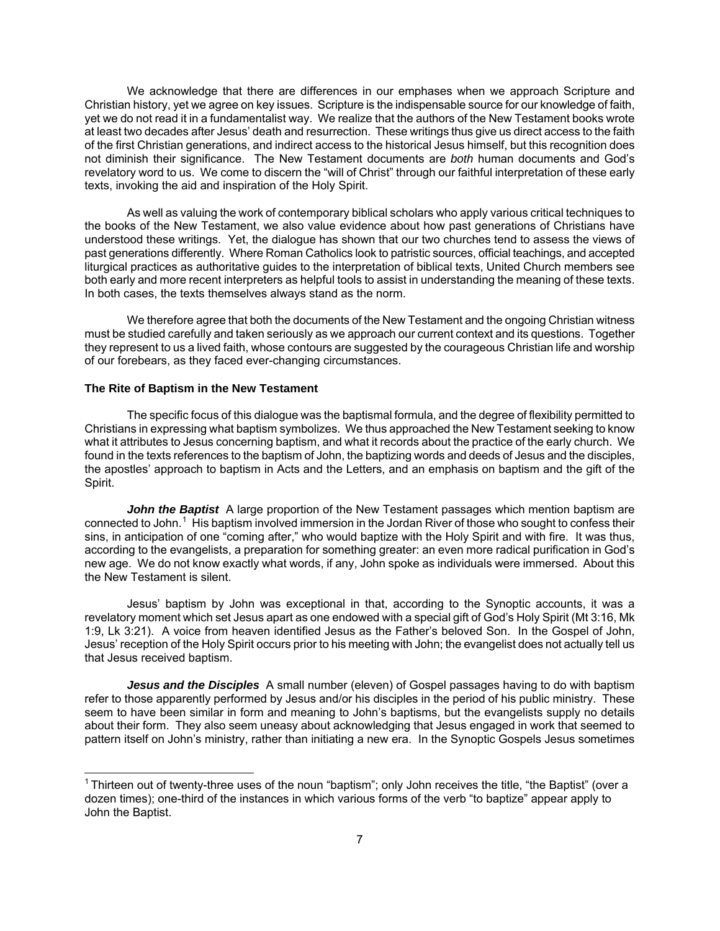We acknowledge that there are differences in our emphases when we approach Scripture and Christian history, yet we agree on key issues. Scripture is the indispensable source for our knowledge of faith, yet we do not read it in a fundamentalist way. We realize that the authors of the New Testament books wrote at least two decades after Jesus' death and resurrection. These writings thus give us direct access to the faith of the first Christian generations, and indirect access to the historical Jesus himself, but this recognition does not diminish their significance. The New Testament documents are *both* human documents and God's revelatory word to us. We come to discern the "will of Christ" through our faithful interpretation of these early texts, invoking the aid and inspiration of the Holy Spirit.

As well as valuing the work of contemporary biblical scholars who apply various critical techniques to the books of the New Testament, we also value evidence about how past generations of Christians have understood these writings. Yet, the dialogue has shown that our two churches tend to assess the views of past generations differently. Where Roman Catholics look to patristic sources, official teachings, and accepted liturgical practices as authoritative guides to the interpretation of biblical texts, United Church members see both early and more recent interpreters as helpful tools to assist in understanding the meaning of these texts. In both cases, the texts themselves always stand as the norm.

We therefore agree that both the documents of the New Testament and the ongoing Christian witness must be studied carefully and taken seriously as we approach our current context and its questions. Together they represent to us a lived faith, whose contours are suggested by the courageous Christian life and worship of our forebears, as they faced ever-changing circumstances.

### **The Rite of Baptism in the New Testament**

 $\overline{a}$ 

The specific focus of this dialogue was the baptismal formula, and the degree of flexibility permitted to Christians in expressing what baptism symbolizes. We thus approached the New Testament seeking to know what it attributes to Jesus concerning baptism, and what it records about the practice of the early church. We found in the texts references to the baptism of John, the baptizing words and deeds of Jesus and the disciples, the apostles' approach to baptism in Acts and the Letters, and an emphasis on baptism and the gift of the Spirit.

John the Baptist A large proportion of the New Testament passages which mention baptism are connected to John.<sup>[1](#page-6-0)</sup> His baptism involved immersion in the Jordan River of those who sought to confess their sins, in anticipation of one "coming after," who would baptize with the Holy Spirit and with fire. It was thus, according to the evangelists, a preparation for something greater: an even more radical purification in God's new age. We do not know exactly what words, if any, John spoke as individuals were immersed. About this the New Testament is silent.

Jesus' baptism by John was exceptional in that, according to the Synoptic accounts, it was a revelatory moment which set Jesus apart as one endowed with a special gift of God's Holy Spirit (Mt 3:16, Mk 1:9, Lk 3:21). A voice from heaven identified Jesus as the Father's beloved Son. In the Gospel of John, Jesus' reception of the Holy Spirit occurs prior to his meeting with John; the evangelist does not actually tell us that Jesus received baptism.

*Jesus and the Disciples* A small number (eleven) of Gospel passages having to do with baptism refer to those apparently performed by Jesus and/or his disciples in the period of his public ministry. These seem to have been similar in form and meaning to John's baptisms, but the evangelists supply no details about their form. They also seem uneasy about acknowledging that Jesus engaged in work that seemed to pattern itself on John's ministry, rather than initiating a new era. In the Synoptic Gospels Jesus sometimes

<span id="page-6-0"></span> $1$ Thirteen out of twenty-three uses of the noun "baptism"; only John receives the title, "the Baptist" (over a dozen times); one-third of the instances in which various forms of the verb "to baptize" appear apply to John the Baptist.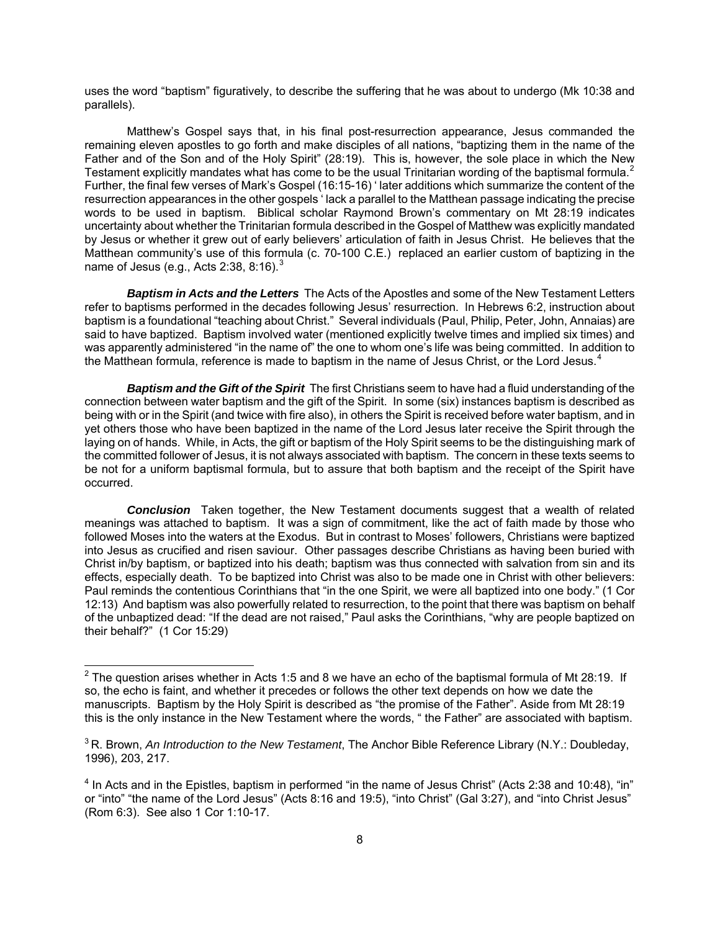uses the word "baptism" figuratively, to describe the suffering that he was about to undergo (Mk 10:38 and parallels).

Matthew's Gospel says that, in his final post-resurrection appearance, Jesus commanded the remaining eleven apostles to go forth and make disciples of all nations, "baptizing them in the name of the Father and of the Son and of the Holy Spirit" (28:19). This is, however, the sole place in which the New Testament explicitly mandates what has come to be the usual Trinitarian wording of the baptismal formula.<sup>[2](#page-7-0)</sup> Further, the final few verses of Mark's Gospel (16:15-16) ' later additions which summarize the content of the resurrection appearances in the other gospels ' lack a parallel to the Matthean passage indicating the precise words to be used in baptism. Biblical scholar Raymond Brown's commentary on Mt 28:19 indicates uncertainty about whether the Trinitarian formula described in the Gospel of Matthew was explicitly mandated by Jesus or whether it grew out of early believers' articulation of faith in Jesus Christ. He believes that the Matthean community's use of this formula (c. 70-100 C.E.) replaced an earlier custom of baptizing in the name of Jesus (e.g., Acts 2:[3](#page-7-1)8, 8:16). $3$ 

*Baptism in Acts and the Letters* The Acts of the Apostles and some of the New Testament Letters refer to baptisms performed in the decades following Jesus' resurrection. In Hebrews 6:2, instruction about baptism is a foundational "teaching about Christ." Several individuals (Paul, Philip, Peter, John, Annaias) are said to have baptized. Baptism involved water (mentioned explicitly twelve times and implied six times) and was apparently administered "in the name of" the one to whom one's life was being committed. In addition to the Matthean formula, reference is made to baptism in the name of Jesus Christ, or the Lord Jesus. $4$ 

*Baptism and the Gift of the Spirit* The first Christians seem to have had a fluid understanding of the connection between water baptism and the gift of the Spirit. In some (six) instances baptism is described as being with or in the Spirit (and twice with fire also), in others the Spirit is received before water baptism, and in yet others those who have been baptized in the name of the Lord Jesus later receive the Spirit through the laying on of hands. While, in Acts, the gift or baptism of the Holy Spirit seems to be the distinguishing mark of the committed follower of Jesus, it is not always associated with baptism. The concern in these texts seems to be not for a uniform baptismal formula, but to assure that both baptism and the receipt of the Spirit have occurred.

*Conclusion* Taken together, the New Testament documents suggest that a wealth of related meanings was attached to baptism. It was a sign of commitment, like the act of faith made by those who followed Moses into the waters at the Exodus. But in contrast to Moses' followers, Christians were baptized into Jesus as crucified and risen saviour. Other passages describe Christians as having been buried with Christ in/by baptism, or baptized into his death; baptism was thus connected with salvation from sin and its effects, especially death. To be baptized into Christ was also to be made one in Christ with other believers: Paul reminds the contentious Corinthians that "in the one Spirit, we were all baptized into one body." (1 Cor 12:13) And baptism was also powerfully related to resurrection, to the point that there was baptism on behalf of the unbaptized dead: "If the dead are not raised," Paul asks the Corinthians, "why are people baptized on their behalf?" (1 Cor 15:29)

<span id="page-7-0"></span><sup>&</sup>lt;u>2</u><br><sup>2</sup> The question arises whether in Acts 1:5 and 8 we have an echo of the baptismal formula of Mt 28:19. If so, the echo is faint, and whether it precedes or follows the other text depends on how we date the manuscripts. Baptism by the Holy Spirit is described as "the promise of the Father". Aside from Mt 28:19 this is the only instance in the New Testament where the words, " the Father" are associated with baptism.

<span id="page-7-1"></span><sup>3</sup> R. Brown, *An Introduction to the New Testament*, The Anchor Bible Reference Library (N.Y.: Doubleday, 1996), 203, 217.

<span id="page-7-2"></span><sup>&</sup>lt;sup>4</sup> In Acts and in the Epistles, baptism in performed "in the name of Jesus Christ" (Acts 2:38 and 10:48), "in" or "into" "the name of the Lord Jesus" (Acts 8:16 and 19:5), "into Christ" (Gal 3:27), and "into Christ Jesus" (Rom 6:3). See also 1 Cor 1:10-17.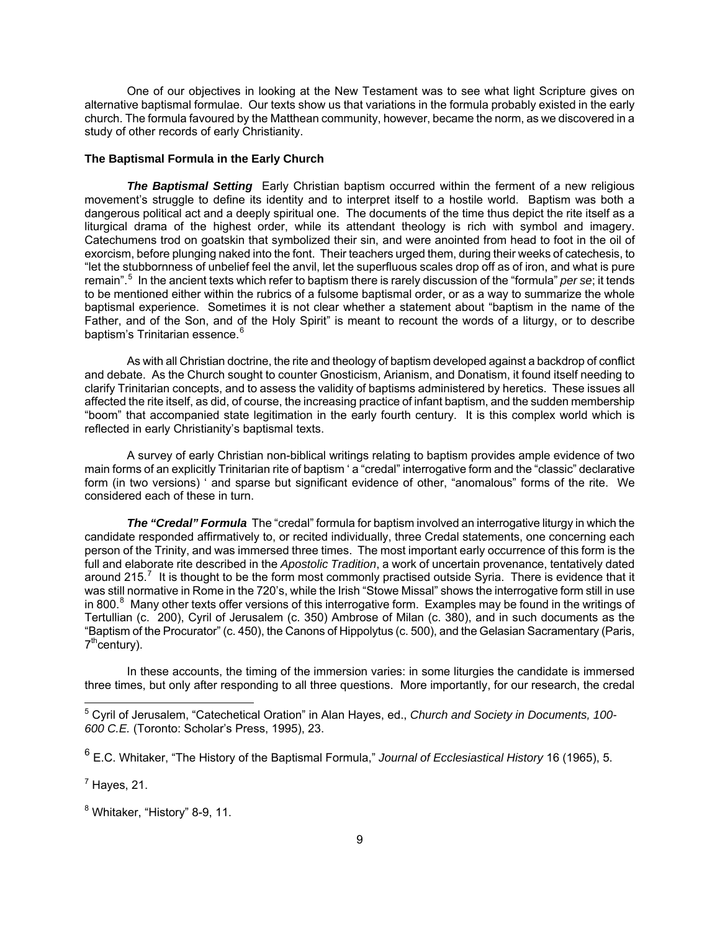One of our objectives in looking at the New Testament was to see what light Scripture gives on alternative baptismal formulae. Our texts show us that variations in the formula probably existed in the early church. The formula favoured by the Matthean community, however, became the norm, as we discovered in a study of other records of early Christianity.

### **The Baptismal Formula in the Early Church**

*The Baptismal Setting* Early Christian baptism occurred within the ferment of a new religious movement's struggle to define its identity and to interpret itself to a hostile world. Baptism was both a dangerous political act and a deeply spiritual one. The documents of the time thus depict the rite itself as a liturgical drama of the highest order, while its attendant theology is rich with symbol and imagery. Catechumens trod on goatskin that symbolized their sin, and were anointed from head to foot in the oil of exorcism, before plunging naked into the font. Their teachers urged them, during their weeks of catechesis, to "let the stubbornness of unbelief feel the anvil, let the superfluous scales drop off as of iron, and what is pure remain".[5](#page-8-0) In the ancient texts which refer to baptism there is rarely discussion of the "formula" *per se*; it tends to be mentioned either within the rubrics of a fulsome baptismal order, or as a way to summarize the whole baptismal experience. Sometimes it is not clear whether a statement about "baptism in the name of the Father, and of the Son, and of the Holy Spirit" is meant to recount the words of a liturgy, or to describe baptism's Trinitarian essence.<sup>[6](#page-8-1)</sup>

As with all Christian doctrine, the rite and theology of baptism developed against a backdrop of conflict and debate. As the Church sought to counter Gnosticism, Arianism, and Donatism, it found itself needing to clarify Trinitarian concepts, and to assess the validity of baptisms administered by heretics. These issues all affected the rite itself, as did, of course, the increasing practice of infant baptism, and the sudden membership "boom" that accompanied state legitimation in the early fourth century. It is this complex world which is reflected in early Christianity's baptismal texts.

A survey of early Christian non-biblical writings relating to baptism provides ample evidence of two main forms of an explicitly Trinitarian rite of baptism ' a "credal" interrogative form and the "classic" declarative form (in two versions) ' and sparse but significant evidence of other, "anomalous" forms of the rite. We considered each of these in turn.

**The "Credal" Formula** The "credal" formula for baptism involved an interrogative liturgy in which the candidate responded affirmatively to, or recited individually, three Credal statements, one concerning each person of the Trinity, and was immersed three times. The most important early occurrence of this form is the full and elaborate rite described in the *Apostolic Tradition*, a work of uncertain provenance, tentatively dated around 215.<sup>[7](#page-8-2)</sup> It is thought to be the form most commonly practised outside Syria. There is evidence that it was still normative in Rome in the 720's, while the Irish "Stowe Missal" shows the interrogative form still in use in [8](#page-8-3)00.<sup>8</sup> Many other texts offer versions of this interrogative form. Examples may be found in the writings of Tertullian (c. 200), Cyril of Jerusalem (c. 350) Ambrose of Milan (c. 380), and in such documents as the "Baptism of the Procurator" (c. 450), the Canons of Hippolytus (c. 500), and the Gelasian Sacramentary (Paris, 7<sup>th</sup>century).

In these accounts, the timing of the immersion varies: in some liturgies the candidate is immersed three times, but only after responding to all three questions. More importantly, for our research, the credal

<span id="page-8-2"></span> $<sup>7</sup>$  Hayes, 21.</sup>

 $\overline{a}$ 

<span id="page-8-3"></span><sup>8</sup> Whitaker, "History" 8-9, 11.

<span id="page-8-0"></span><sup>5</sup> Cyril of Jerusalem, "Catechetical Oration" in Alan Hayes, ed., *Church and Society in Documents, 100- 600 C.E.* (Toronto: Scholar's Press, 1995), 23.

<span id="page-8-1"></span><sup>6</sup> E.C. Whitaker, "The History of the Baptismal Formula," *Journal of Ecclesiastical History* 16 (1965), 5.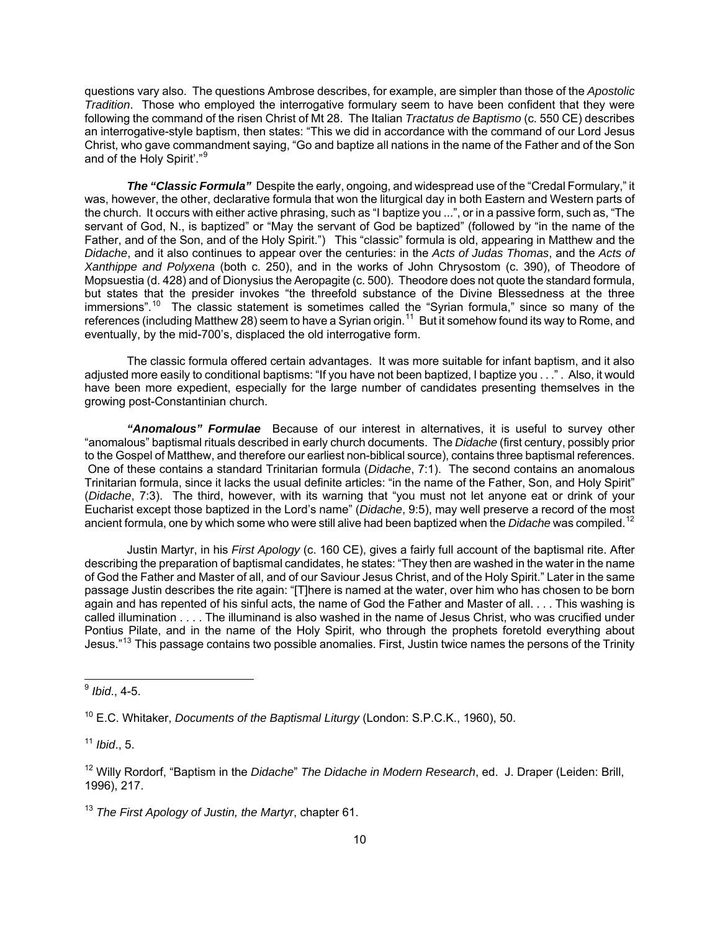questions vary also. The questions Ambrose describes, for example, are simpler than those of the *Apostolic Tradition*. Those who employed the interrogative formulary seem to have been confident that they were following the command of the risen Christ of Mt 28. The Italian *Tractatus de Baptismo* (c. 550 CE) describes an interrogative-style baptism, then states: "This we did in accordance with the command of our Lord Jesus Christ, who gave commandment saying, "Go and baptize all nations in the name of the Father and of the Son and of the Holy Spirit'."<sup>[9](#page-9-0)</sup>

*The "Classic Formula"* Despite the early, ongoing, and widespread use of the "Credal Formulary," it was, however, the other, declarative formula that won the liturgical day in both Eastern and Western parts of the church. It occurs with either active phrasing, such as "I baptize you ...", or in a passive form, such as, "The servant of God, N., is baptized" or "May the servant of God be baptized" (followed by "in the name of the Father, and of the Son, and of the Holy Spirit.") This "classic" formula is old, appearing in Matthew and the *Didache*, and it also continues to appear over the centuries: in the *Acts of Judas Thomas*, and the *Acts of Xanthippe and Polyxena* (both c. 250), and in the works of John Chrysostom (c. 390), of Theodore of Mopsuestia (d. 428) and of Dionysius the Aeropagite (c. 500). Theodore does not quote the standard formula, but states that the presider invokes "the threefold substance of the Divine Blessedness at the three immersions".<sup>[10](#page-9-1)</sup> The classic statement is sometimes called the "Syrian formula," since so many of the references (including Matthew 28) seem to have a Syrian origin.<sup>[11](#page-9-2)</sup> But it somehow found its way to Rome, and eventually, by the mid-700's, displaced the old interrogative form.

The classic formula offered certain advantages. It was more suitable for infant baptism, and it also adjusted more easily to conditional baptisms: "If you have not been baptized, I baptize you . . ." . Also, it would have been more expedient, especially for the large number of candidates presenting themselves in the growing post-Constantinian church.

*"Anomalous" Formulae* Because of our interest in alternatives, it is useful to survey other "anomalous" baptismal rituals described in early church documents. The *Didache* (first century, possibly prior to the Gospel of Matthew, and therefore our earliest non-biblical source), contains three baptismal references. One of these contains a standard Trinitarian formula (*Didache*, 7:1). The second contains an anomalous Trinitarian formula, since it lacks the usual definite articles: "in the name of the Father, Son, and Holy Spirit" (*Didache*, 7:3). The third, however, with its warning that "you must not let anyone eat or drink of your Eucharist except those baptized in the Lord's name" (*Didache*, 9:5), may well preserve a record of the most ancient formula, one by which some who were still alive had been baptized when the *Didache* was compiled.[12](#page-9-3)

Justin Martyr, in his *First Apology* (c. 160 CE), gives a fairly full account of the baptismal rite. After describing the preparation of baptismal candidates, he states: "They then are washed in the water in the name of God the Father and Master of all, and of our Saviour Jesus Christ, and of the Holy Spirit." Later in the same passage Justin describes the rite again: "[T]here is named at the water, over him who has chosen to be born again and has repented of his sinful acts, the name of God the Father and Master of all. . . . This washing is called illumination . . . . The illuminand is also washed in the name of Jesus Christ, who was crucified under Pontius Pilate, and in the name of the Holy Spirit, who through the prophets foretold everything about Jesus."[13](#page-9-4) This passage contains two possible anomalies. First, Justin twice names the persons of the Trinity

 $\overline{a}$ 

<span id="page-9-2"></span><sup>11</sup> *Ibid*., 5.

<span id="page-9-0"></span><sup>9</sup>  *Ibid*., 4-5.

<span id="page-9-1"></span><sup>10</sup> E.C. Whitaker, *Documents of the Baptismal Liturgy* (London: S.P.C.K., 1960), 50.

<span id="page-9-3"></span><sup>12</sup> Willy Rordorf, "Baptism in the *Didache*" *The Didache in Modern Research*, ed. J. Draper (Leiden: Brill, 1996), 217.

<span id="page-9-4"></span><sup>13</sup> *The First Apology of Justin, the Martyr*, chapter 61.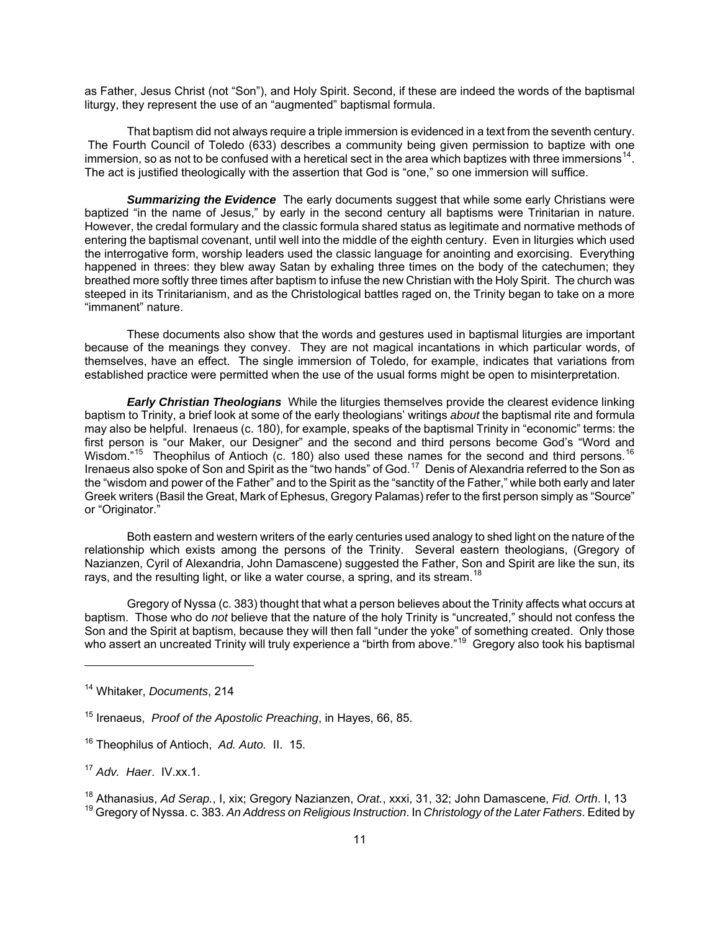as Father, Jesus Christ (not "Son"), and Holy Spirit. Second, if these are indeed the words of the baptismal liturgy, they represent the use of an "augmented" baptismal formula.

That baptism did not always require a triple immersion is evidenced in a text from the seventh century. The Fourth Council of Toledo (633) describes a community being given permission to baptize with one immersion, so as not to be confused with a heretical sect in the area which baptizes with three immersions<sup>[14](#page-10-0)</sup>. The act is justified theologically with the assertion that God is "one," so one immersion will suffice.

**Summarizing the Evidence** The early documents suggest that while some early Christians were baptized "in the name of Jesus," by early in the second century all baptisms were Trinitarian in nature. However, the credal formulary and the classic formula shared status as legitimate and normative methods of entering the baptismal covenant, until well into the middle of the eighth century. Even in liturgies which used the interrogative form, worship leaders used the classic language for anointing and exorcising. Everything happened in threes: they blew away Satan by exhaling three times on the body of the catechumen; they breathed more softly three times after baptism to infuse the new Christian with the Holy Spirit. The church was steeped in its Trinitarianism, and as the Christological battles raged on, the Trinity began to take on a more "immanent" nature.

These documents also show that the words and gestures used in baptismal liturgies are important because of the meanings they convey. They are not magical incantations in which particular words, of themselves, have an effect. The single immersion of Toledo, for example, indicates that variations from established practice were permitted when the use of the usual forms might be open to misinterpretation.

*Early Christian Theologians* While the liturgies themselves provide the clearest evidence linking baptism to Trinity, a brief look at some of the early theologians' writings *about* the baptismal rite and formula may also be helpful. Irenaeus (c. 180), for example, speaks of the baptismal Trinity in "economic" terms: the first person is "our Maker, our Designer" and the second and third persons become God's "Word and Wisdom."<sup>[15](#page-10-1)</sup> Theophilus of Antioch (c. 180) also used these names for the second and third persons.<sup>16</sup> Irenaeus also spoke of Son and Spirit as the "two hands" of God.[17](#page-10-3) Denis of Alexandria referred to the Son as the "wisdom and power of the Father" and to the Spirit as the "sanctity of the Father," while both early and later Greek writers (Basil the Great, Mark of Ephesus, Gregory Palamas) refer to the first person simply as "Source" or "Originator."

Both eastern and western writers of the early centuries used analogy to shed light on the nature of the relationship which exists among the persons of the Trinity. Several eastern theologians, (Gregory of Nazianzen, Cyril of Alexandria, John Damascene) suggested the Father, Son and Spirit are like the sun, its rays, and the resulting light, or like a water course, a spring, and its stream.<sup>[18](#page-10-4)</sup>

Gregory of Nyssa (c. 383) thought that what a person believes about the Trinity affects what occurs at baptism. Those who do *not* believe that the nature of the holy Trinity is "uncreated," should not confess the Son and the Spirit at baptism, because they will then fall "under the yoke" of something created. Only those who assert an uncreated Trinity will truly experience a "birth from above."<sup>[19](#page-10-5)</sup> Gregory also took his baptismal

<span id="page-10-0"></span><sup>14</sup> Whitaker, *Documents*, 214

<span id="page-10-1"></span><sup>15</sup> Irenaeus, *Proof of the Apostolic Preaching*, in Hayes, 66, 85.

<span id="page-10-2"></span><sup>16</sup> Theophilus of Antioch, *Ad. Auto.* II. 15.

<span id="page-10-3"></span><sup>17</sup> *Adv. Haer*. IV.xx.1.

<span id="page-10-5"></span><span id="page-10-4"></span><sup>18</sup> Athanasius, *Ad Serap.*, I, xix; Gregory Nazianzen, *Orat.*, xxxi, 31, 32; John Damascene, *Fid. Orth*. I, 13 19 Gregory of Nyssa. c. 383. *An Address on Religious Instruction*. In *Christology of the Later Fathers*. Edited by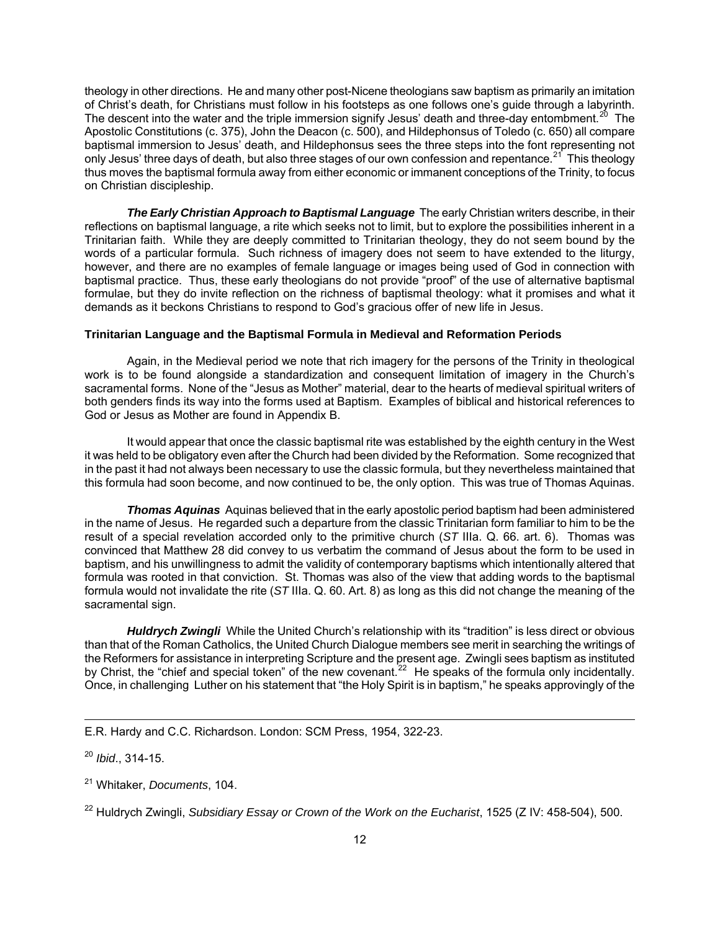theology in other directions. He and many other post-Nicene theologians saw baptism as primarily an imitation of Christ's death, for Christians must follow in his footsteps as one follows one's guide through a labyrinth. The descent into the water and the triple immersion signify Jesus' death and three-day entombment.<sup>[20](#page-11-0)</sup> The Apostolic Constitutions (c. 375), John the Deacon (c. 500), and Hildephonsus of Toledo (c. 650) all compare baptismal immersion to Jesus' death, and Hildephonsus sees the three steps into the font representing not only Jesus' three days of death, but also three stages of our own confession and repentance.<sup>[21](#page-11-1)</sup> This theology thus moves the baptismal formula away from either economic or immanent conceptions of the Trinity, to focus on Christian discipleship.

*The Early Christian Approach to Baptismal Language* The early Christian writers describe, in their reflections on baptismal language, a rite which seeks not to limit, but to explore the possibilities inherent in a Trinitarian faith. While they are deeply committed to Trinitarian theology, they do not seem bound by the words of a particular formula. Such richness of imagery does not seem to have extended to the liturgy, however, and there are no examples of female language or images being used of God in connection with baptismal practice. Thus, these early theologians do not provide "proof" of the use of alternative baptismal formulae, but they do invite reflection on the richness of baptismal theology: what it promises and what it demands as it beckons Christians to respond to God's gracious offer of new life in Jesus.

#### **Trinitarian Language and the Baptismal Formula in Medieval and Reformation Periods**

Again, in the Medieval period we note that rich imagery for the persons of the Trinity in theological work is to be found alongside a standardization and consequent limitation of imagery in the Church's sacramental forms. None of the "Jesus as Mother" material, dear to the hearts of medieval spiritual writers of both genders finds its way into the forms used at Baptism. Examples of biblical and historical references to God or Jesus as Mother are found in Appendix B.

It would appear that once the classic baptismal rite was established by the eighth century in the West it was held to be obligatory even after the Church had been divided by the Reformation. Some recognized that in the past it had not always been necessary to use the classic formula, but they nevertheless maintained that this formula had soon become, and now continued to be, the only option. This was true of Thomas Aquinas.

*Thomas Aquinas* Aquinas believed that in the early apostolic period baptism had been administered in the name of Jesus. He regarded such a departure from the classic Trinitarian form familiar to him to be the result of a special revelation accorded only to the primitive church (*ST* IIIa. Q. 66. art. 6). Thomas was convinced that Matthew 28 did convey to us verbatim the command of Jesus about the form to be used in baptism, and his unwillingness to admit the validity of contemporary baptisms which intentionally altered that formula was rooted in that conviction. St. Thomas was also of the view that adding words to the baptismal formula would not invalidate the rite (*ST* IIIa. Q. 60. Art. 8) as long as this did not change the meaning of the sacramental sign.

*Huldrych Zwingli* While the United Church's relationship with its "tradition" is less direct or obvious than that of the Roman Catholics, the United Church Dialogue members see merit in searching the writings of the Reformers for assistance in interpreting Scripture and the present age. Zwingli sees baptism as instituted by Christ, the "chief and special token" of the new covenant.<sup>[22](#page-11-2)</sup> He speaks of the formula only incidentally. Once, in challenging Luther on his statement that "the Holy Spirit is in baptism," he speaks approvingly of the

E.R. Hardy and C.C. Richardson. London: SCM Press, 1954, 322-23.

<span id="page-11-0"></span><sup>20</sup> *Ibid*., 314-15.

<span id="page-11-1"></span><sup>21</sup> Whitaker, *Documents*, 104.

<span id="page-11-2"></span><sup>&</sup>lt;sup>22</sup> Huldrych Zwingli, *Subsidiary Essay or Crown of the Work on the Eucharist*, 1525 (Z IV: 458-504), 500.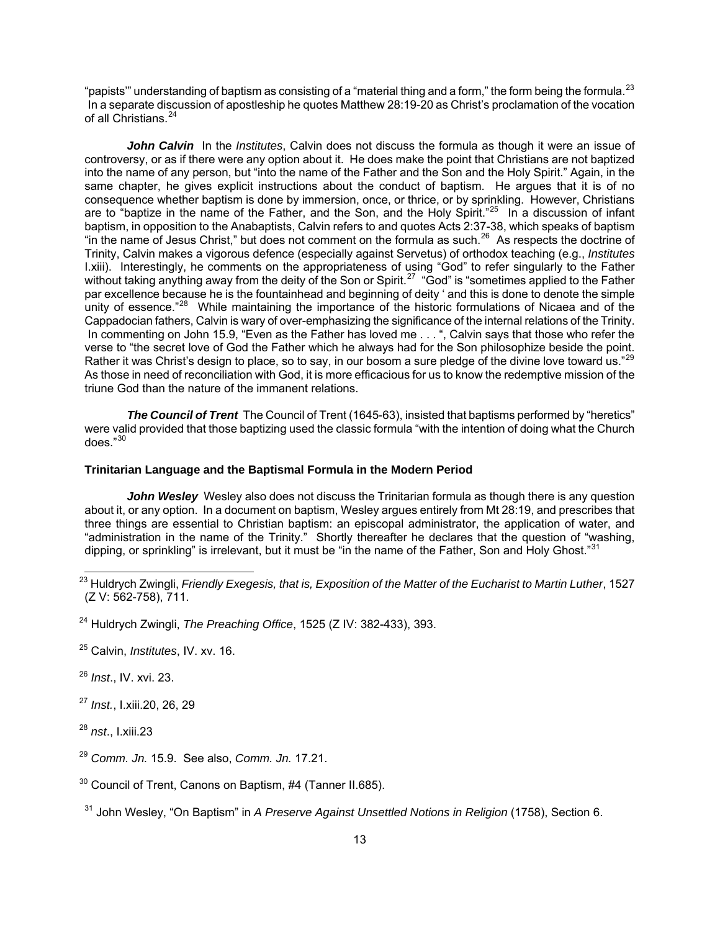"papists" understanding of baptism as consisting of a "material thing and a form," the form being the formula. $^{23}$  $^{23}$  $^{23}$  In a separate discussion of apostleship he quotes Matthew 28:19-20 as Christ's proclamation of the vocation of all Christians.<sup>[24](#page-12-1)</sup>

*John Calvin* In the *Institutes*, Calvin does not discuss the formula as though it were an issue of controversy, or as if there were any option about it. He does make the point that Christians are not baptized into the name of any person, but "into the name of the Father and the Son and the Holy Spirit." Again, in the same chapter, he gives explicit instructions about the conduct of baptism. He argues that it is of no consequence whether baptism is done by immersion, once, or thrice, or by sprinkling. However, Christians are to "baptize in the name of the Father, and the Son, and the Holy Spirit."<sup>[25](#page-12-2)</sup> In a discussion of infant baptism, in opposition to the Anabaptists, Calvin refers to and quotes Acts 2:37-38, which speaks of baptism "in the name of Jesus Christ," but does not comment on the formula as such.<sup>[26](#page-12-3)</sup> As respects the doctrine of Trinity, Calvin makes a vigorous defence (especially against Servetus) of orthodox teaching (e.g., *Institutes* I.xiii). Interestingly, he comments on the appropriateness of using "God" to refer singularly to the Father without taking anything away from the deity of the Son or Spirit.<sup>[27](#page-12-4)</sup> "God" is "sometimes applied to the Father par excellence because he is the fountainhead and beginning of deity ' and this is done to denote the simple unity of essence."<sup>[28](#page-12-5)</sup> While maintaining the importance of the historic formulations of Nicaea and of the Cappadocian fathers, Calvin is wary of over-emphasizing the significance of the internal relations of the Trinity. In commenting on John 15.9, "Even as the Father has loved me . . . ", Calvin says that those who refer the verse to "the secret love of God the Father which he always had for the Son philosophize beside the point. Rather it was Christ's design to place, so to say, in our bosom a sure pledge of the divine love toward us."<sup>29</sup> As those in need of reconciliation with God, it is more efficacious for us to know the redemptive mission of the triune God than the nature of the immanent relations.

*The Council of Trent* The Council of Trent (1645-63), insisted that baptisms performed by "heretics" were valid provided that those baptizing used the classic formula "with the intention of doing what the Church does."[30](#page-12-7)

### **Trinitarian Language and the Baptismal Formula in the Modern Period**

*John Wesley* Wesley also does not discuss the Trinitarian formula as though there is any question about it, or any option. In a document on baptism, Wesley argues entirely from Mt 28:19, and prescribes that three things are essential to Christian baptism: an episcopal administrator, the application of water, and "administration in the name of the Trinity." Shortly thereafter he declares that the question of "washing, dipping, or sprinkling" is irrelevant, but it must be "in the name of the Father, Son and Holy Ghost."<sup>[31](#page-12-8)</sup>

- <span id="page-12-4"></span><sup>27</sup> *Inst.*, I.xiii.20, 26, 29
- <span id="page-12-5"></span><sup>28</sup> *nst*., I.xiii.23
- <span id="page-12-6"></span><sup>29</sup> *Comm. Jn.* 15.9. See also, *Comm. Jn.* 17.21.
- <span id="page-12-7"></span><sup>30</sup> Council of Trent, Canons on Baptism, #4 (Tanner II.685).
- <span id="page-12-8"></span>31 John Wesley, "On Baptism" in *A Preserve Against Unsettled Notions in Religion* (1758), Section 6.

<span id="page-12-0"></span><sup>23</sup> Huldrych Zwingli, *Friendly Exegesis, that is, Exposition of the Matter of the Eucharist to Martin Luther*, 1527 (Z V: 562-758), 711.

<span id="page-12-1"></span><sup>24</sup> Huldrych Zwingli, *The Preaching Office*, 1525 (Z IV: 382-433), 393.

<span id="page-12-2"></span><sup>25</sup> Calvin, *Institutes*, IV. xv. 16.

<span id="page-12-3"></span><sup>26</sup> *Inst*., IV. xvi. 23.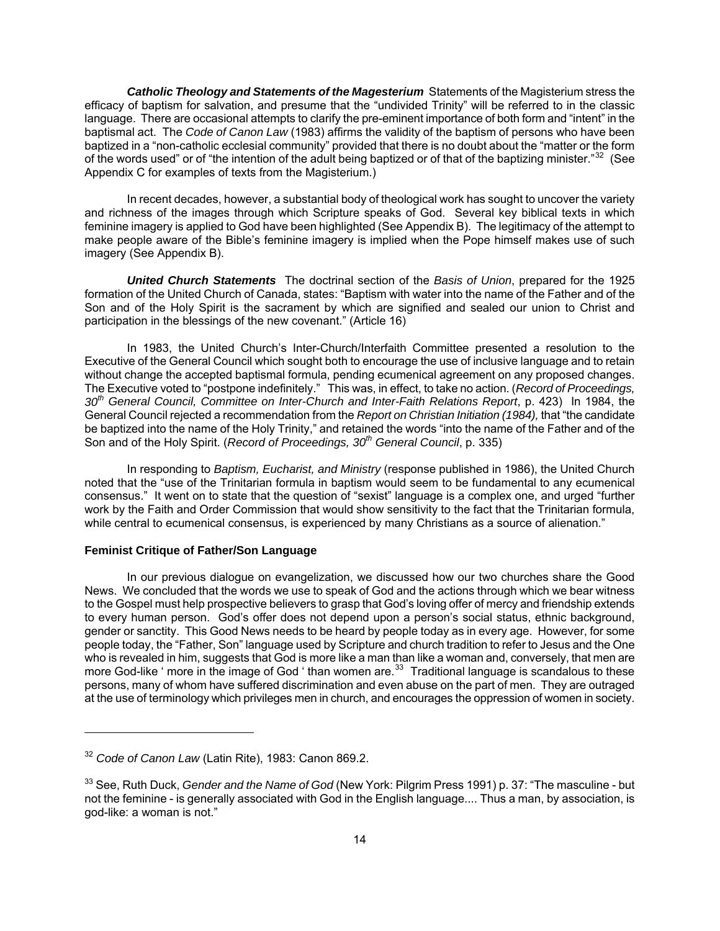*Catholic Theology and Statements of the Magesterium* Statements of the Magisterium stress the efficacy of baptism for salvation, and presume that the "undivided Trinity" will be referred to in the classic language. There are occasional attempts to clarify the pre-eminent importance of both form and "intent" in the baptismal act. The *Code of Canon Law* (1983) affirms the validity of the baptism of persons who have been baptized in a "non-catholic ecclesial community" provided that there is no doubt about the "matter or the form of the words used" or of "the intention of the adult being baptized or of that of the baptizing minister."<sup>[32](#page-13-0)</sup> (See Appendix C for examples of texts from the Magisterium.)

In recent decades, however, a substantial body of theological work has sought to uncover the variety and richness of the images through which Scripture speaks of God. Several key biblical texts in which feminine imagery is applied to God have been highlighted (See Appendix B). The legitimacy of the attempt to make people aware of the Bible's feminine imagery is implied when the Pope himself makes use of such imagery (See Appendix B).

*United Church Statements* The doctrinal section of the *Basis of Union*, prepared for the 1925 formation of the United Church of Canada, states: "Baptism with water into the name of the Father and of the Son and of the Holy Spirit is the sacrament by which are signified and sealed our union to Christ and participation in the blessings of the new covenant." (Article 16)

In 1983, the United Church's Inter-Church/Interfaith Committee presented a resolution to the Executive of the General Council which sought both to encourage the use of inclusive language and to retain without change the accepted baptismal formula, pending ecumenical agreement on any proposed changes. The Executive voted to "postpone indefinitely." This was, in effect, to take no action. (*Record of Proceedings, 30th General Council, Committee on Inter-Church and Inter-Faith Relations Report*, p. 423) In 1984, the General Council rejected a recommendation from the *Report on Christian Initiation (1984),* that "the candidate be baptized into the name of the Holy Trinity," and retained the words "into the name of the Father and of the Son and of the Holy Spirit. (*Record of Proceedings, 30th General Council*, p. 335)

In responding to *Baptism, Eucharist, and Ministry* (response published in 1986), the United Church noted that the "use of the Trinitarian formula in baptism would seem to be fundamental to any ecumenical consensus." It went on to state that the question of "sexist" language is a complex one, and urged "further work by the Faith and Order Commission that would show sensitivity to the fact that the Trinitarian formula, while central to ecumenical consensus, is experienced by many Christians as a source of alienation."

### **Feminist Critique of Father/Son Language**

In our previous dialogue on evangelization, we discussed how our two churches share the Good News. We concluded that the words we use to speak of God and the actions through which we bear witness to the Gospel must help prospective believers to grasp that God's loving offer of mercy and friendship extends to every human person. God's offer does not depend upon a person's social status, ethnic background, gender or sanctity. This Good News needs to be heard by people today as in every age. However, for some people today, the "Father, Son" language used by Scripture and church tradition to refer to Jesus and the One who is revealed in him, suggests that God is more like a man than like a woman and, conversely, that men are more God-like ' more in the image of God ' than women are.<sup>[33](#page-13-1)</sup> Traditional language is scandalous to these persons, many of whom have suffered discrimination and even abuse on the part of men. They are outraged at the use of terminology which privileges men in church, and encourages the oppression of women in society.

<span id="page-13-0"></span><sup>32</sup> *Code of Canon Law* (Latin Rite), 1983: Canon 869.2.

<span id="page-13-1"></span><sup>33</sup> See, Ruth Duck, *Gender and the Name of God* (New York: Pilgrim Press 1991) p. 37: "The masculine - but not the feminine - is generally associated with God in the English language.... Thus a man, by association, is god-like: a woman is not."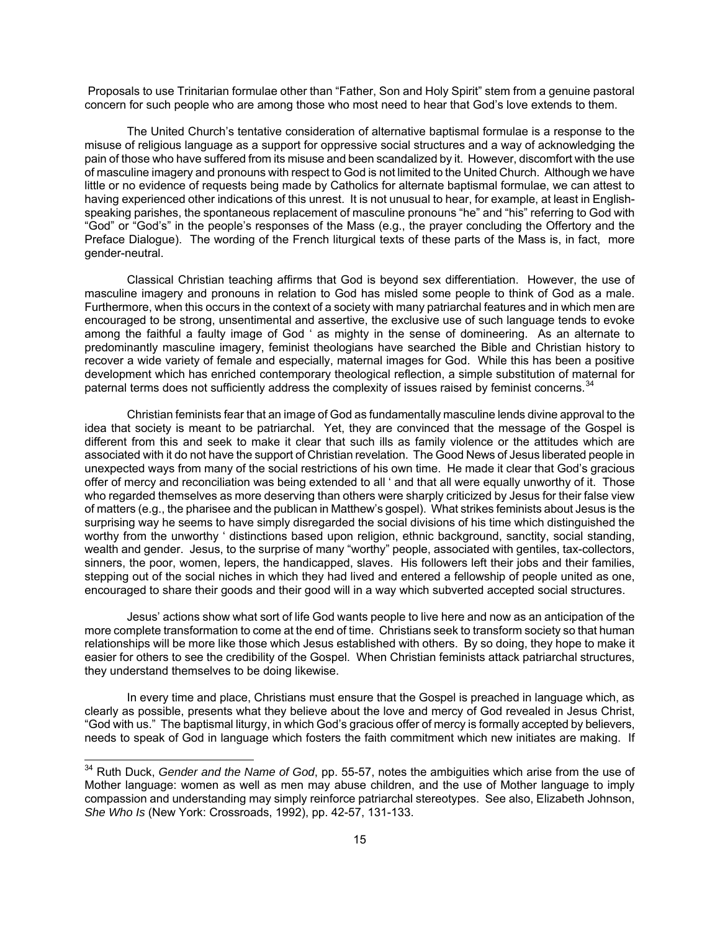Proposals to use Trinitarian formulae other than "Father, Son and Holy Spirit" stem from a genuine pastoral concern for such people who are among those who most need to hear that God's love extends to them.

The United Church's tentative consideration of alternative baptismal formulae is a response to the misuse of religious language as a support for oppressive social structures and a way of acknowledging the pain of those who have suffered from its misuse and been scandalized by it. However, discomfort with the use of masculine imagery and pronouns with respect to God is not limited to the United Church. Although we have little or no evidence of requests being made by Catholics for alternate baptismal formulae, we can attest to having experienced other indications of this unrest. It is not unusual to hear, for example, at least in Englishspeaking parishes, the spontaneous replacement of masculine pronouns "he" and "his" referring to God with "God" or "God's" in the people's responses of the Mass (e.g., the prayer concluding the Offertory and the Preface Dialogue). The wording of the French liturgical texts of these parts of the Mass is, in fact, more gender-neutral.

Classical Christian teaching affirms that God is beyond sex differentiation. However, the use of masculine imagery and pronouns in relation to God has misled some people to think of God as a male. Furthermore, when this occurs in the context of a society with many patriarchal features and in which men are encouraged to be strong, unsentimental and assertive, the exclusive use of such language tends to evoke among the faithful a faulty image of God ' as mighty in the sense of domineering. As an alternate to predominantly masculine imagery, feminist theologians have searched the Bible and Christian history to recover a wide variety of female and especially, maternal images for God. While this has been a positive development which has enriched contemporary theological reflection, a simple substitution of maternal for paternal terms does not sufficiently address the complexity of issues raised by feminist concerns.<sup>[34](#page-14-0)</sup>

Christian feminists fear that an image of God as fundamentally masculine lends divine approval to the idea that society is meant to be patriarchal. Yet, they are convinced that the message of the Gospel is different from this and seek to make it clear that such ills as family violence or the attitudes which are associated with it do not have the support of Christian revelation. The Good News of Jesus liberated people in unexpected ways from many of the social restrictions of his own time. He made it clear that God's gracious offer of mercy and reconciliation was being extended to all ' and that all were equally unworthy of it. Those who regarded themselves as more deserving than others were sharply criticized by Jesus for their false view of matters (e.g., the pharisee and the publican in Matthew's gospel). What strikes feminists about Jesus is the surprising way he seems to have simply disregarded the social divisions of his time which distinguished the worthy from the unworthy ' distinctions based upon religion, ethnic background, sanctity, social standing, wealth and gender. Jesus, to the surprise of many "worthy" people, associated with gentiles, tax-collectors, sinners, the poor, women, lepers, the handicapped, slaves. His followers left their jobs and their families, stepping out of the social niches in which they had lived and entered a fellowship of people united as one, encouraged to share their goods and their good will in a way which subverted accepted social structures.

Jesus' actions show what sort of life God wants people to live here and now as an anticipation of the more complete transformation to come at the end of time. Christians seek to transform society so that human relationships will be more like those which Jesus established with others. By so doing, they hope to make it easier for others to see the credibility of the Gospel. When Christian feminists attack patriarchal structures, they understand themselves to be doing likewise.

In every time and place, Christians must ensure that the Gospel is preached in language which, as clearly as possible, presents what they believe about the love and mercy of God revealed in Jesus Christ, "God with us." The baptismal liturgy, in which God's gracious offer of mercy is formally accepted by believers, needs to speak of God in language which fosters the faith commitment which new initiates are making. If

<span id="page-14-0"></span><sup>34</sup> Ruth Duck, *Gender and the Name of God*, pp. 55-57, notes the ambiguities which arise from the use of Mother language: women as well as men may abuse children, and the use of Mother language to imply compassion and understanding may simply reinforce patriarchal stereotypes. See also, Elizabeth Johnson, *She Who Is* (New York: Crossroads, 1992), pp. 42-57, 131-133.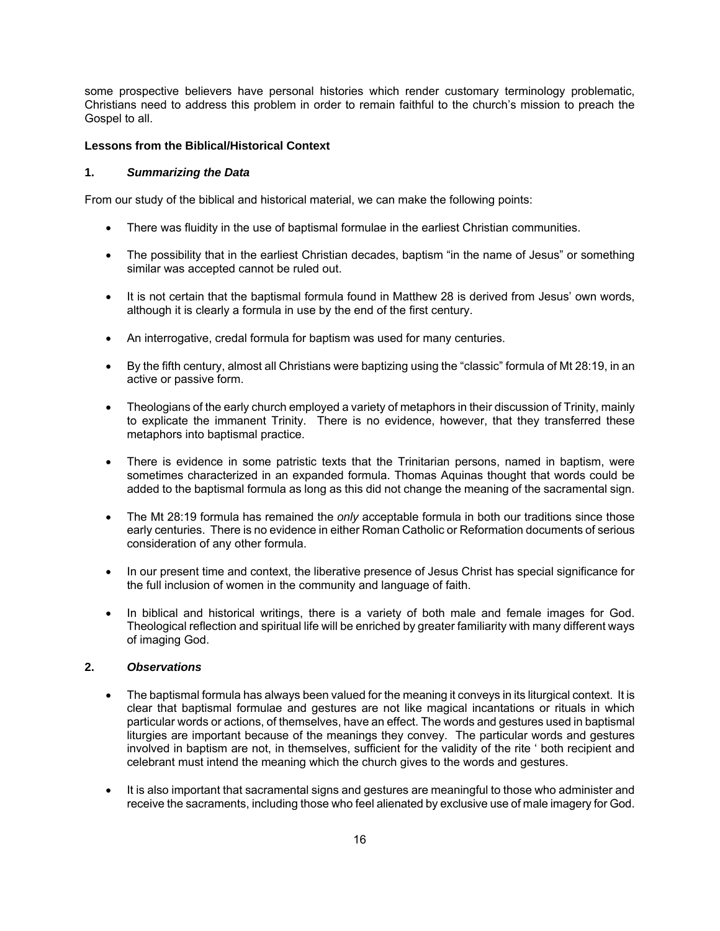some prospective believers have personal histories which render customary terminology problematic, Christians need to address this problem in order to remain faithful to the church's mission to preach the Gospel to all.

### **Lessons from the Biblical/Historical Context**

### **1.** *Summarizing the Data*

From our study of the biblical and historical material, we can make the following points:

- There was fluidity in the use of baptismal formulae in the earliest Christian communities.
- The possibility that in the earliest Christian decades, baptism "in the name of Jesus" or something similar was accepted cannot be ruled out.
- It is not certain that the baptismal formula found in Matthew 28 is derived from Jesus' own words, although it is clearly a formula in use by the end of the first century.
- An interrogative, credal formula for baptism was used for many centuries.
- By the fifth century, almost all Christians were baptizing using the "classic" formula of Mt 28:19, in an active or passive form.
- Theologians of the early church employed a variety of metaphors in their discussion of Trinity, mainly to explicate the immanent Trinity. There is no evidence, however, that they transferred these metaphors into baptismal practice.
- There is evidence in some patristic texts that the Trinitarian persons, named in baptism, were sometimes characterized in an expanded formula. Thomas Aquinas thought that words could be added to the baptismal formula as long as this did not change the meaning of the sacramental sign.
- The Mt 28:19 formula has remained the *only* acceptable formula in both our traditions since those early centuries. There is no evidence in either Roman Catholic or Reformation documents of serious consideration of any other formula.
- In our present time and context, the liberative presence of Jesus Christ has special significance for the full inclusion of women in the community and language of faith.
- In biblical and historical writings, there is a variety of both male and female images for God. Theological reflection and spiritual life will be enriched by greater familiarity with many different ways of imaging God.

# **2.** *Observations*

- The baptismal formula has always been valued for the meaning it conveys in its liturgical context. It is clear that baptismal formulae and gestures are not like magical incantations or rituals in which particular words or actions, of themselves, have an effect. The words and gestures used in baptismal liturgies are important because of the meanings they convey. The particular words and gestures involved in baptism are not, in themselves, sufficient for the validity of the rite ' both recipient and celebrant must intend the meaning which the church gives to the words and gestures.
- It is also important that sacramental signs and gestures are meaningful to those who administer and receive the sacraments, including those who feel alienated by exclusive use of male imagery for God.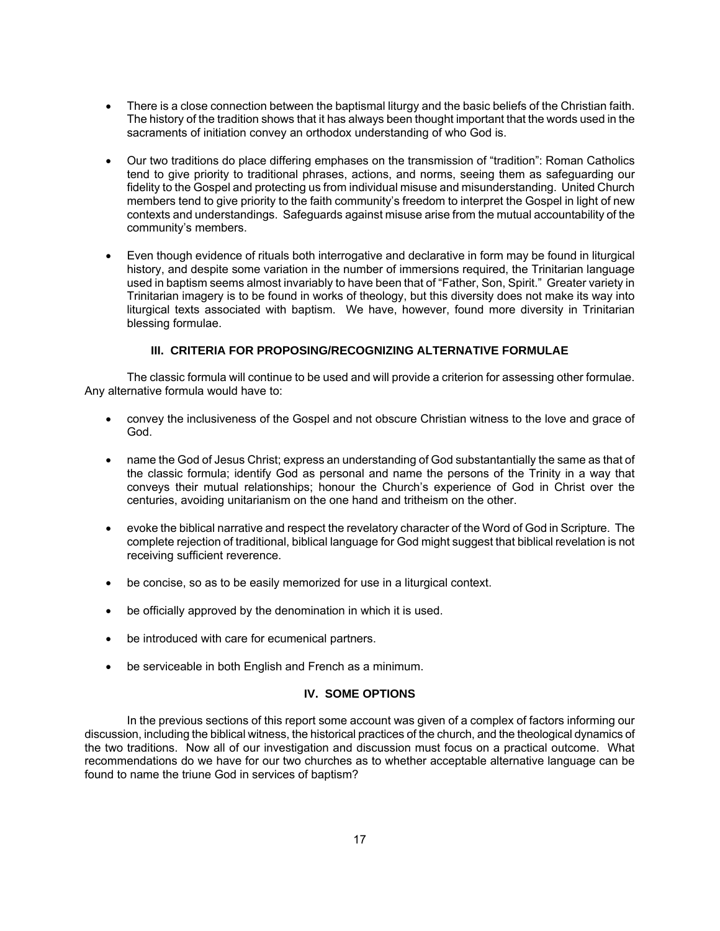- There is a close connection between the baptismal liturgy and the basic beliefs of the Christian faith. The history of the tradition shows that it has always been thought important that the words used in the sacraments of initiation convey an orthodox understanding of who God is.
- Our two traditions do place differing emphases on the transmission of "tradition": Roman Catholics tend to give priority to traditional phrases, actions, and norms, seeing them as safeguarding our fidelity to the Gospel and protecting us from individual misuse and misunderstanding. United Church members tend to give priority to the faith community's freedom to interpret the Gospel in light of new contexts and understandings. Safeguards against misuse arise from the mutual accountability of the community's members.
- Even though evidence of rituals both interrogative and declarative in form may be found in liturgical history, and despite some variation in the number of immersions required, the Trinitarian language used in baptism seems almost invariably to have been that of "Father, Son, Spirit." Greater variety in Trinitarian imagery is to be found in works of theology, but this diversity does not make its way into liturgical texts associated with baptism. We have, however, found more diversity in Trinitarian blessing formulae.

# **III. CRITERIA FOR PROPOSING/RECOGNIZING ALTERNATIVE FORMULAE**

The classic formula will continue to be used and will provide a criterion for assessing other formulae. Any alternative formula would have to:

- convey the inclusiveness of the Gospel and not obscure Christian witness to the love and grace of God.
- name the God of Jesus Christ; express an understanding of God substantantially the same as that of the classic formula; identify God as personal and name the persons of the Trinity in a way that conveys their mutual relationships; honour the Church's experience of God in Christ over the centuries, avoiding unitarianism on the one hand and tritheism on the other.
- evoke the biblical narrative and respect the revelatory character of the Word of God in Scripture. The complete rejection of traditional, biblical language for God might suggest that biblical revelation is not receiving sufficient reverence.
- be concise, so as to be easily memorized for use in a liturgical context.
- be officially approved by the denomination in which it is used.
- be introduced with care for ecumenical partners.
- be serviceable in both English and French as a minimum.

# **IV. SOME OPTIONS**

In the previous sections of this report some account was given of a complex of factors informing our discussion, including the biblical witness, the historical practices of the church, and the theological dynamics of the two traditions. Now all of our investigation and discussion must focus on a practical outcome. What recommendations do we have for our two churches as to whether acceptable alternative language can be found to name the triune God in services of baptism?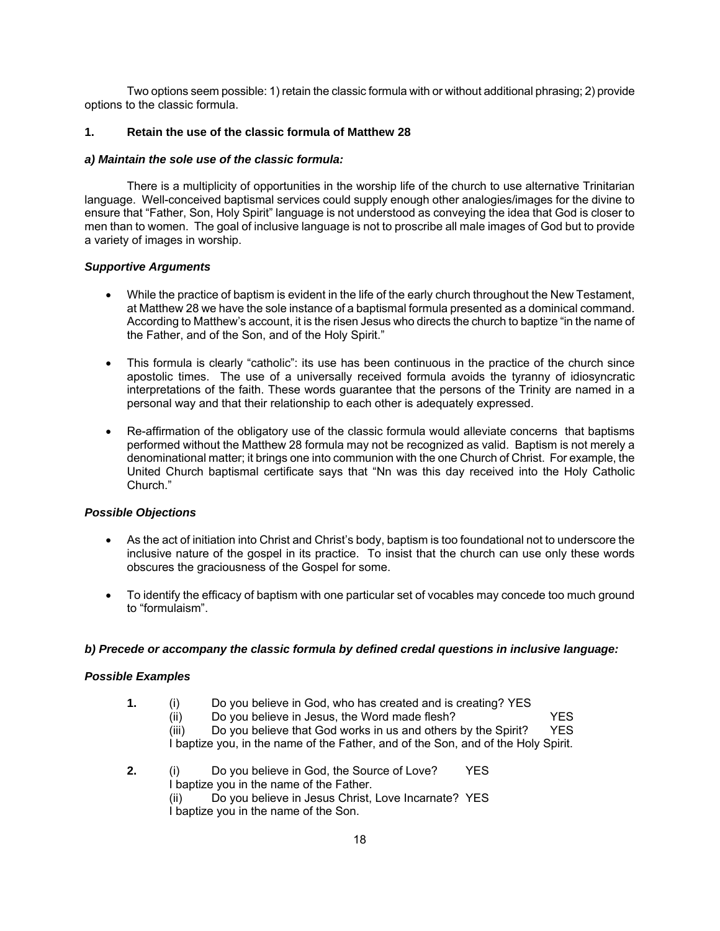Two options seem possible: 1) retain the classic formula with or without additional phrasing; 2) provide options to the classic formula.

# **1. Retain the use of the classic formula of Matthew 28**

# *a) Maintain the sole use of the classic formula:*

There is a multiplicity of opportunities in the worship life of the church to use alternative Trinitarian language. Well-conceived baptismal services could supply enough other analogies/images for the divine to ensure that "Father, Son, Holy Spirit" language is not understood as conveying the idea that God is closer to men than to women. The goal of inclusive language is not to proscribe all male images of God but to provide a variety of images in worship.

# *Supportive Arguments*

- While the practice of baptism is evident in the life of the early church throughout the New Testament, at Matthew 28 we have the sole instance of a baptismal formula presented as a dominical command. According to Matthew's account, it is the risen Jesus who directs the church to baptize "in the name of the Father, and of the Son, and of the Holy Spirit."
- This formula is clearly "catholic": its use has been continuous in the practice of the church since apostolic times. The use of a universally received formula avoids the tyranny of idiosyncratic interpretations of the faith. These words guarantee that the persons of the Trinity are named in a personal way and that their relationship to each other is adequately expressed.
- Re-affirmation of the obligatory use of the classic formula would alleviate concerns that baptisms performed without the Matthew 28 formula may not be recognized as valid. Baptism is not merely a denominational matter; it brings one into communion with the one Church of Christ. For example, the United Church baptismal certificate says that "Nn was this day received into the Holy Catholic Church."

# *Possible Objections*

- As the act of initiation into Christ and Christ's body, baptism is too foundational not to underscore the inclusive nature of the gospel in its practice. To insist that the church can use only these words obscures the graciousness of the Gospel for some.
- To identify the efficacy of baptism with one particular set of vocables may concede too much ground to "formulaism".

# *b) Precede or accompany the classic formula by defined credal questions in inclusive language:*

# *Possible Examples*

- **1.** (i) Do you believe in God, who has created and is creating? YES
	-

(ii) Do you believe in Jesus, the Word made flesh?  $YES$ <br>(iii) Do you believe that God works in us and others by the Spirit?  $YES$  $(iii)$  Do you believe that God works in us and others by the Spirit? I baptize you, in the name of the Father, and of the Son, and of the Holy Spirit.

**2.** (i) Do you believe in God, the Source of Love? YES I baptize you in the name of the Father. (ii) Do you believe in Jesus Christ, Love Incarnate? YES I baptize you in the name of the Son.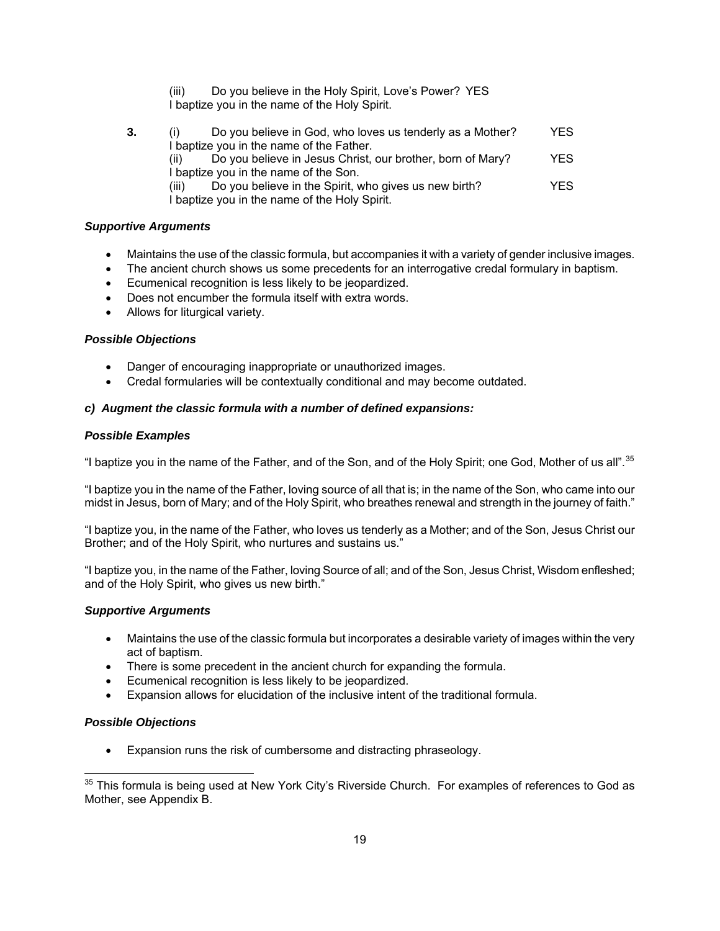- (iii) Do you believe in the Holy Spirit, Love's Power? YES I baptize you in the name of the Holy Spirit.
- **3.** (i) Do you believe in God, who loves us tenderly as a Mother? YES I baptize you in the name of the Father. (ii) Do you believe in Jesus Christ, our brother, born of Mary? YES I baptize you in the name of the Son. (iii) Do you believe in the Spirit, who gives us new birth? YES I baptize you in the name of the Holy Spirit.

# *Supportive Arguments*

- Maintains the use of the classic formula, but accompanies it with a variety of gender inclusive images.
- The ancient church shows us some precedents for an interrogative credal formulary in baptism.
- Ecumenical recognition is less likely to be jeopardized.
- Does not encumber the formula itself with extra words.
- Allows for liturgical variety.

# *Possible Objections*

- Danger of encouraging inappropriate or unauthorized images.
- Credal formularies will be contextually conditional and may become outdated.

# *c) Augment the classic formula with a number of defined expansions:*

# *Possible Examples*

"I baptize you in the name of the Father, and of the Son, and of the Holy Spirit; one God, Mother of us all".<sup>[35](#page-18-0)</sup>

"I baptize you in the name of the Father, loving source of all that is; in the name of the Son, who came into our midst in Jesus, born of Mary; and of the Holy Spirit, who breathes renewal and strength in the journey of faith."

"I baptize you, in the name of the Father, who loves us tenderly as a Mother; and of the Son, Jesus Christ our Brother; and of the Holy Spirit, who nurtures and sustains us."

"I baptize you, in the name of the Father, loving Source of all; and of the Son, Jesus Christ, Wisdom enfleshed; and of the Holy Spirit, who gives us new birth."

# *Supportive Arguments*

- Maintains the use of the classic formula but incorporates a desirable variety of images within the very act of baptism.
- There is some precedent in the ancient church for expanding the formula.
- Ecumenical recognition is less likely to be jeopardized.
- Expansion allows for elucidation of the inclusive intent of the traditional formula.

# *Possible Objections*

 $\overline{a}$ 

• Expansion runs the risk of cumbersome and distracting phraseology.

<span id="page-18-0"></span> $35$  This formula is being used at New York City's Riverside Church. For examples of references to God as Mother, see Appendix B.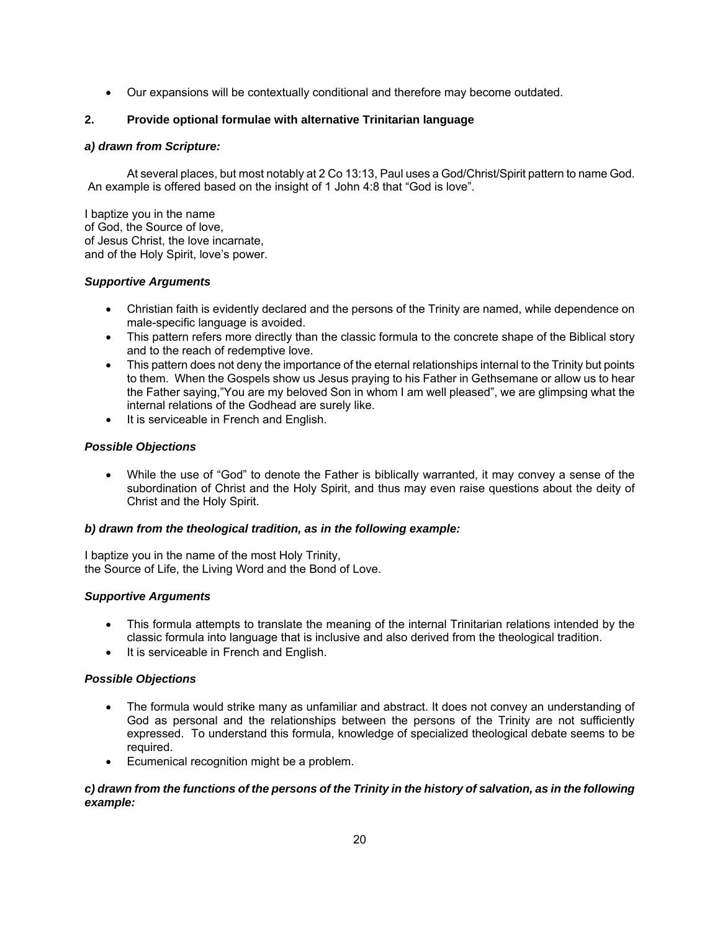• Our expansions will be contextually conditional and therefore may become outdated.

# **2. Provide optional formulae with alternative Trinitarian language**

# *a) drawn from Scripture:*

At several places, but most notably at 2 Co 13:13, Paul uses a God/Christ/Spirit pattern to name God. An example is offered based on the insight of 1 John 4:8 that "God is love".

I baptize you in the name of God, the Source of love, of Jesus Christ, the love incarnate, and of the Holy Spirit, love's power.

# *Supportive Arguments*

- Christian faith is evidently declared and the persons of the Trinity are named, while dependence on male-specific language is avoided.
- This pattern refers more directly than the classic formula to the concrete shape of the Biblical story and to the reach of redemptive love.
- This pattern does not deny the importance of the eternal relationships internal to the Trinity but points to them. When the Gospels show us Jesus praying to his Father in Gethsemane or allow us to hear the Father saying,"You are my beloved Son in whom I am well pleased", we are glimpsing what the internal relations of the Godhead are surely like.
- It is serviceable in French and English.

# *Possible Objections*

• While the use of "God" to denote the Father is biblically warranted, it may convey a sense of the subordination of Christ and the Holy Spirit, and thus may even raise questions about the deity of Christ and the Holy Spirit.

# *b) drawn from the theological tradition, as in the following example:*

I baptize you in the name of the most Holy Trinity, the Source of Life, the Living Word and the Bond of Love.

# *Supportive Arguments*

- This formula attempts to translate the meaning of the internal Trinitarian relations intended by the classic formula into language that is inclusive and also derived from the theological tradition.
- It is serviceable in French and English.

# *Possible Objections*

- The formula would strike many as unfamiliar and abstract. It does not convey an understanding of God as personal and the relationships between the persons of the Trinity are not sufficiently expressed. To understand this formula, knowledge of specialized theological debate seems to be required.
- Ecumenical recognition might be a problem.

# *c) drawn from the functions of the persons of the Trinity in the history of salvation, as in the following example:*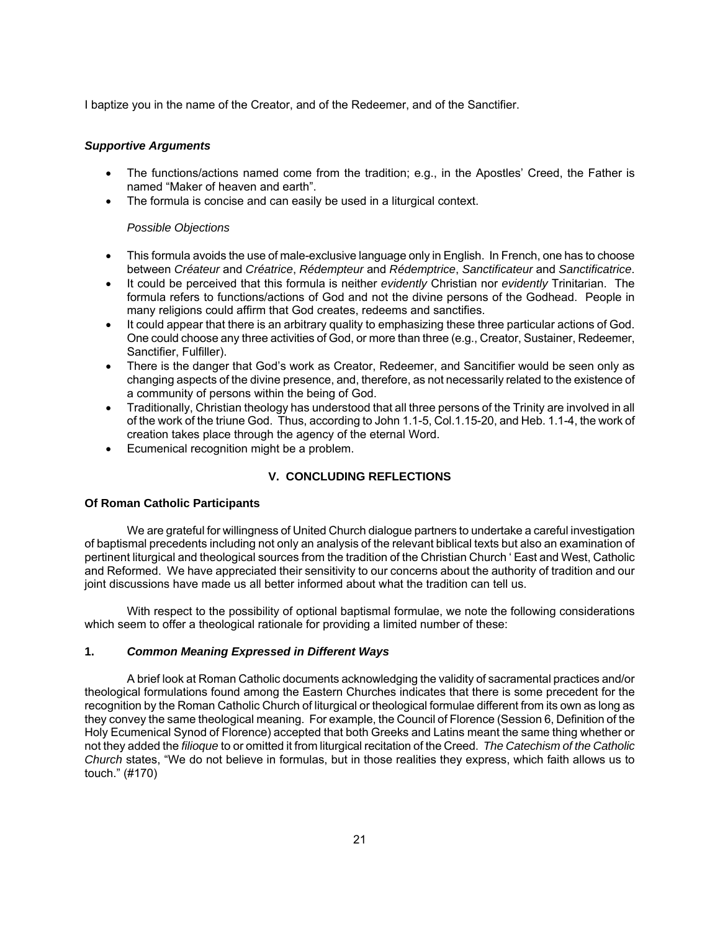I baptize you in the name of the Creator, and of the Redeemer, and of the Sanctifier.

### *Supportive Arguments*

- The functions/actions named come from the tradition; e.g., in the Apostles' Creed, the Father is named "Maker of heaven and earth".
- The formula is concise and can easily be used in a liturgical context.

### *Possible Objections*

- This formula avoids the use of male-exclusive language only in English. In French, one has to choose between *Créateur* and *Créatrice*, *Rédempteur* and *Rédemptrice*, *Sanctificateur* and *Sanctificatrice*.
- It could be perceived that this formula is neither *evidently* Christian nor *evidently* Trinitarian. The formula refers to functions/actions of God and not the divine persons of the Godhead. People in many religions could affirm that God creates, redeems and sanctifies.
- It could appear that there is an arbitrary quality to emphasizing these three particular actions of God. One could choose any three activities of God, or more than three (e.g., Creator, Sustainer, Redeemer, Sanctifier, Fulfiller).
- There is the danger that God's work as Creator, Redeemer, and Sancitifier would be seen only as changing aspects of the divine presence, and, therefore, as not necessarily related to the existence of a community of persons within the being of God.
- Traditionally, Christian theology has understood that all three persons of the Trinity are involved in all of the work of the triune God. Thus, according to John 1.1-5, Col.1.15-20, and Heb. 1.1-4, the work of creation takes place through the agency of the eternal Word.
- Ecumenical recognition might be a problem.

# **V. CONCLUDING REFLECTIONS**

# **Of Roman Catholic Participants**

We are grateful for willingness of United Church dialogue partners to undertake a careful investigation of baptismal precedents including not only an analysis of the relevant biblical texts but also an examination of pertinent liturgical and theological sources from the tradition of the Christian Church ' East and West, Catholic and Reformed. We have appreciated their sensitivity to our concerns about the authority of tradition and our joint discussions have made us all better informed about what the tradition can tell us.

With respect to the possibility of optional baptismal formulae, we note the following considerations which seem to offer a theological rationale for providing a limited number of these:

### **1.** *Common Meaning Expressed in Different Ways*

A brief look at Roman Catholic documents acknowledging the validity of sacramental practices and/or theological formulations found among the Eastern Churches indicates that there is some precedent for the recognition by the Roman Catholic Church of liturgical or theological formulae different from its own as long as they convey the same theological meaning. For example, the Council of Florence (Session 6, Definition of the Holy Ecumenical Synod of Florence) accepted that both Greeks and Latins meant the same thing whether or not they added the *filioque* to or omitted it from liturgical recitation of the Creed. *The Catechism of the Catholic Church* states, "We do not believe in formulas, but in those realities they express, which faith allows us to touch." (#170)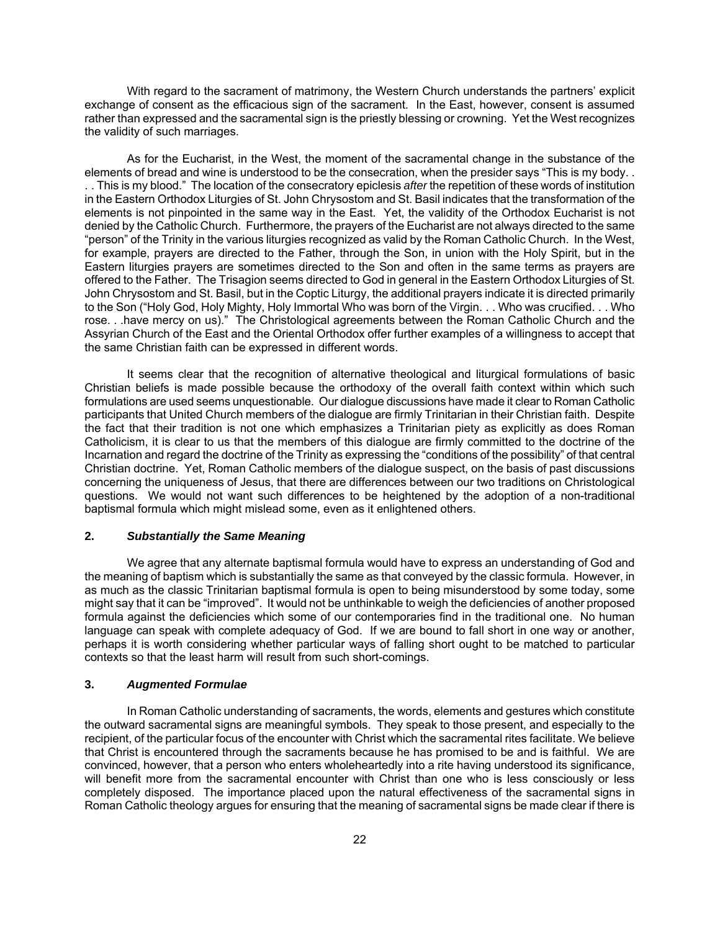With regard to the sacrament of matrimony, the Western Church understands the partners' explicit exchange of consent as the efficacious sign of the sacrament. In the East, however, consent is assumed rather than expressed and the sacramental sign is the priestly blessing or crowning. Yet the West recognizes the validity of such marriages.

As for the Eucharist, in the West, the moment of the sacramental change in the substance of the elements of bread and wine is understood to be the consecration, when the presider says "This is my body. . . . This is my blood." The location of the consecratory epiclesis *after* the repetition of these words of institution in the Eastern Orthodox Liturgies of St. John Chrysostom and St. Basil indicates that the transformation of the elements is not pinpointed in the same way in the East. Yet, the validity of the Orthodox Eucharist is not denied by the Catholic Church. Furthermore, the prayers of the Eucharist are not always directed to the same "person" of the Trinity in the various liturgies recognized as valid by the Roman Catholic Church. In the West, for example, prayers are directed to the Father, through the Son, in union with the Holy Spirit, but in the Eastern liturgies prayers are sometimes directed to the Son and often in the same terms as prayers are offered to the Father. The Trisagion seems directed to God in general in the Eastern Orthodox Liturgies of St. John Chrysostom and St. Basil, but in the Coptic Liturgy, the additional prayers indicate it is directed primarily to the Son ("Holy God, Holy Mighty, Holy Immortal Who was born of the Virgin. . . Who was crucified. . . Who rose. . .have mercy on us)." The Christological agreements between the Roman Catholic Church and the Assyrian Church of the East and the Oriental Orthodox offer further examples of a willingness to accept that the same Christian faith can be expressed in different words.

It seems clear that the recognition of alternative theological and liturgical formulations of basic Christian beliefs is made possible because the orthodoxy of the overall faith context within which such formulations are used seems unquestionable. Our dialogue discussions have made it clear to Roman Catholic participants that United Church members of the dialogue are firmly Trinitarian in their Christian faith. Despite the fact that their tradition is not one which emphasizes a Trinitarian piety as explicitly as does Roman Catholicism, it is clear to us that the members of this dialogue are firmly committed to the doctrine of the Incarnation and regard the doctrine of the Trinity as expressing the "conditions of the possibility" of that central Christian doctrine. Yet, Roman Catholic members of the dialogue suspect, on the basis of past discussions concerning the uniqueness of Jesus, that there are differences between our two traditions on Christological questions. We would not want such differences to be heightened by the adoption of a non-traditional baptismal formula which might mislead some, even as it enlightened others.

### **2.** *Substantially the Same Meaning*

We agree that any alternate baptismal formula would have to express an understanding of God and the meaning of baptism which is substantially the same as that conveyed by the classic formula. However, in as much as the classic Trinitarian baptismal formula is open to being misunderstood by some today, some might say that it can be "improved". It would not be unthinkable to weigh the deficiencies of another proposed formula against the deficiencies which some of our contemporaries find in the traditional one. No human language can speak with complete adequacy of God. If we are bound to fall short in one way or another, perhaps it is worth considering whether particular ways of falling short ought to be matched to particular contexts so that the least harm will result from such short-comings.

### **3.** *Augmented Formulae*

In Roman Catholic understanding of sacraments, the words, elements and gestures which constitute the outward sacramental signs are meaningful symbols. They speak to those present, and especially to the recipient, of the particular focus of the encounter with Christ which the sacramental rites facilitate. We believe that Christ is encountered through the sacraments because he has promised to be and is faithful. We are convinced, however, that a person who enters wholeheartedly into a rite having understood its significance, will benefit more from the sacramental encounter with Christ than one who is less consciously or less completely disposed. The importance placed upon the natural effectiveness of the sacramental signs in Roman Catholic theology argues for ensuring that the meaning of sacramental signs be made clear if there is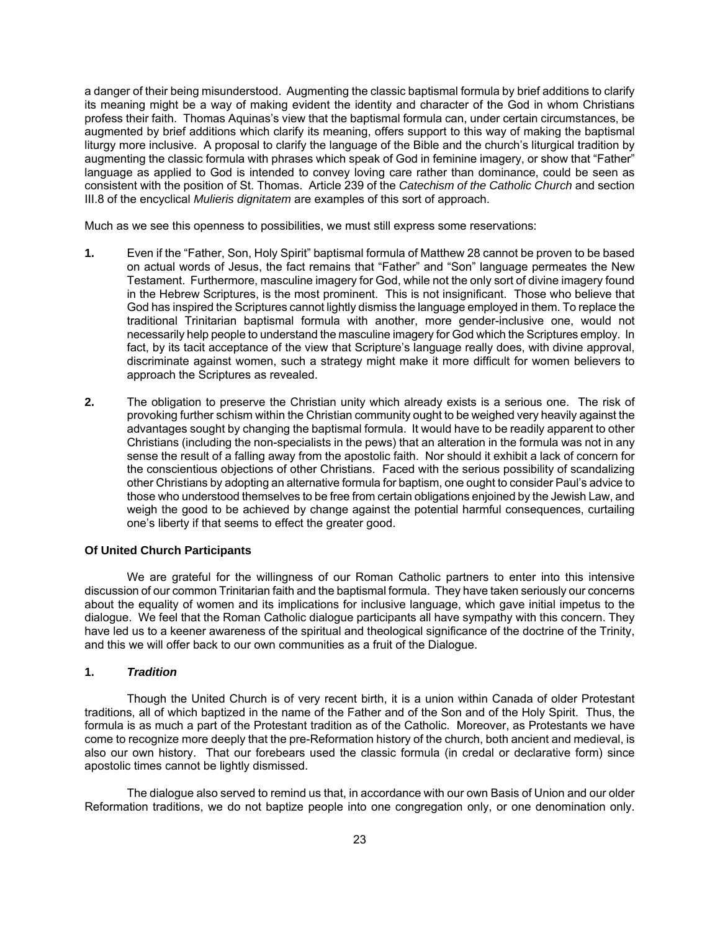a danger of their being misunderstood. Augmenting the classic baptismal formula by brief additions to clarify its meaning might be a way of making evident the identity and character of the God in whom Christians profess their faith. Thomas Aquinas's view that the baptismal formula can, under certain circumstances, be augmented by brief additions which clarify its meaning, offers support to this way of making the baptismal liturgy more inclusive. A proposal to clarify the language of the Bible and the church's liturgical tradition by augmenting the classic formula with phrases which speak of God in feminine imagery, or show that "Father" language as applied to God is intended to convey loving care rather than dominance, could be seen as consistent with the position of St. Thomas. Article 239 of the *Catechism of the Catholic Church* and section III.8 of the encyclical *Mulieris dignitatem* are examples of this sort of approach.

Much as we see this openness to possibilities, we must still express some reservations:

- **1.** Even if the "Father, Son, Holy Spirit" baptismal formula of Matthew 28 cannot be proven to be based on actual words of Jesus, the fact remains that "Father" and "Son" language permeates the New Testament. Furthermore, masculine imagery for God, while not the only sort of divine imagery found in the Hebrew Scriptures, is the most prominent. This is not insignificant. Those who believe that God has inspired the Scriptures cannot lightly dismiss the language employed in them. To replace the traditional Trinitarian baptismal formula with another, more gender-inclusive one, would not necessarily help people to understand the masculine imagery for God which the Scriptures employ. In fact, by its tacit acceptance of the view that Scripture's language really does, with divine approval, discriminate against women, such a strategy might make it more difficult for women believers to approach the Scriptures as revealed.
- **2.** The obligation to preserve the Christian unity which already exists is a serious one. The risk of provoking further schism within the Christian community ought to be weighed very heavily against the advantages sought by changing the baptismal formula. It would have to be readily apparent to other Christians (including the non-specialists in the pews) that an alteration in the formula was not in any sense the result of a falling away from the apostolic faith. Nor should it exhibit a lack of concern for the conscientious objections of other Christians. Faced with the serious possibility of scandalizing other Christians by adopting an alternative formula for baptism, one ought to consider Paul's advice to those who understood themselves to be free from certain obligations enjoined by the Jewish Law, and weigh the good to be achieved by change against the potential harmful consequences, curtailing one's liberty if that seems to effect the greater good.

### **Of United Church Participants**

We are grateful for the willingness of our Roman Catholic partners to enter into this intensive discussion of our common Trinitarian faith and the baptismal formula. They have taken seriously our concerns about the equality of women and its implications for inclusive language, which gave initial impetus to the dialogue. We feel that the Roman Catholic dialogue participants all have sympathy with this concern. They have led us to a keener awareness of the spiritual and theological significance of the doctrine of the Trinity, and this we will offer back to our own communities as a fruit of the Dialogue.

### **1.** *Tradition*

Though the United Church is of very recent birth, it is a union within Canada of older Protestant traditions, all of which baptized in the name of the Father and of the Son and of the Holy Spirit. Thus, the formula is as much a part of the Protestant tradition as of the Catholic. Moreover, as Protestants we have come to recognize more deeply that the pre-Reformation history of the church, both ancient and medieval, is also our own history. That our forebears used the classic formula (in credal or declarative form) since apostolic times cannot be lightly dismissed.

The dialogue also served to remind us that, in accordance with our own Basis of Union and our older Reformation traditions, we do not baptize people into one congregation only, or one denomination only.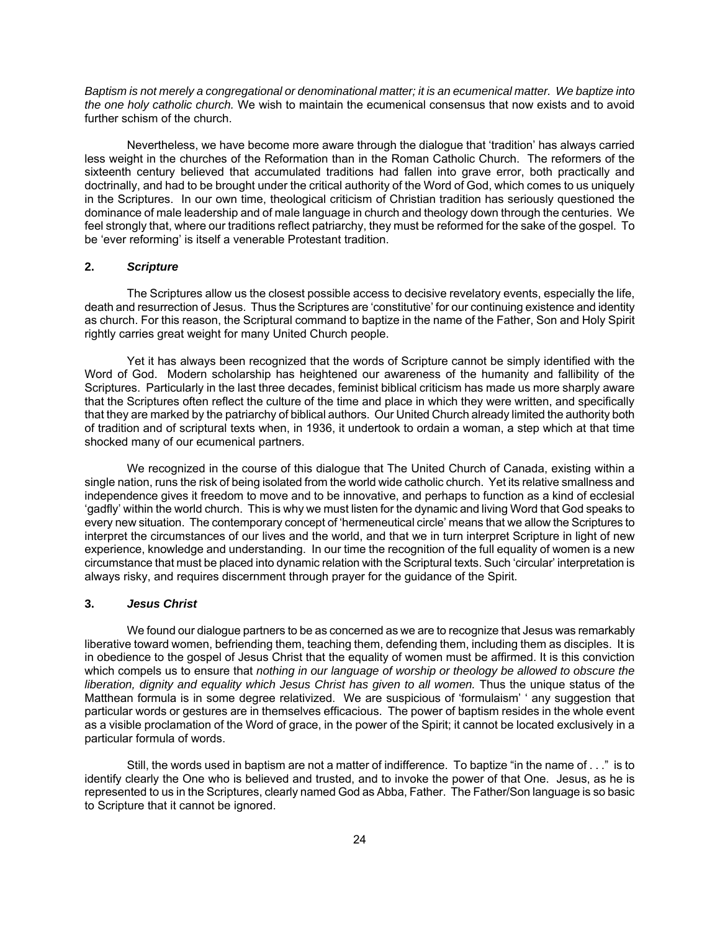*Baptism is not merely a congregational or denominational matter; it is an ecumenical matter. We baptize into the one holy catholic church.* We wish to maintain the ecumenical consensus that now exists and to avoid further schism of the church.

Nevertheless, we have become more aware through the dialogue that 'tradition' has always carried less weight in the churches of the Reformation than in the Roman Catholic Church. The reformers of the sixteenth century believed that accumulated traditions had fallen into grave error, both practically and doctrinally, and had to be brought under the critical authority of the Word of God, which comes to us uniquely in the Scriptures. In our own time, theological criticism of Christian tradition has seriously questioned the dominance of male leadership and of male language in church and theology down through the centuries. We feel strongly that, where our traditions reflect patriarchy, they must be reformed for the sake of the gospel. To be 'ever reforming' is itself a venerable Protestant tradition.

#### **2.** *Scripture*

The Scriptures allow us the closest possible access to decisive revelatory events, especially the life, death and resurrection of Jesus. Thus the Scriptures are 'constitutive' for our continuing existence and identity as church. For this reason, the Scriptural command to baptize in the name of the Father, Son and Holy Spirit rightly carries great weight for many United Church people.

Yet it has always been recognized that the words of Scripture cannot be simply identified with the Word of God. Modern scholarship has heightened our awareness of the humanity and fallibility of the Scriptures. Particularly in the last three decades, feminist biblical criticism has made us more sharply aware that the Scriptures often reflect the culture of the time and place in which they were written, and specifically that they are marked by the patriarchy of biblical authors. Our United Church already limited the authority both of tradition and of scriptural texts when, in 1936, it undertook to ordain a woman, a step which at that time shocked many of our ecumenical partners.

We recognized in the course of this dialogue that The United Church of Canada, existing within a single nation, runs the risk of being isolated from the world wide catholic church. Yet its relative smallness and independence gives it freedom to move and to be innovative, and perhaps to function as a kind of ecclesial 'gadfly' within the world church. This is why we must listen for the dynamic and living Word that God speaks to every new situation. The contemporary concept of 'hermeneutical circle' means that we allow the Scriptures to interpret the circumstances of our lives and the world, and that we in turn interpret Scripture in light of new experience, knowledge and understanding. In our time the recognition of the full equality of women is a new circumstance that must be placed into dynamic relation with the Scriptural texts. Such 'circular' interpretation is always risky, and requires discernment through prayer for the guidance of the Spirit.

### **3.** *Jesus Christ*

We found our dialogue partners to be as concerned as we are to recognize that Jesus was remarkably liberative toward women, befriending them, teaching them, defending them, including them as disciples. It is in obedience to the gospel of Jesus Christ that the equality of women must be affirmed. It is this conviction which compels us to ensure that *nothing in our language of worship or theology be allowed to obscure the liberation, dignity and equality which Jesus Christ has given to all women.* Thus the unique status of the Matthean formula is in some degree relativized. We are suspicious of 'formulaism' ' any suggestion that particular words or gestures are in themselves efficacious. The power of baptism resides in the whole event as a visible proclamation of the Word of grace, in the power of the Spirit; it cannot be located exclusively in a particular formula of words.

Still, the words used in baptism are not a matter of indifference. To baptize "in the name of . . ." is to identify clearly the One who is believed and trusted, and to invoke the power of that One. Jesus, as he is represented to us in the Scriptures, clearly named God as Abba, Father. The Father/Son language is so basic to Scripture that it cannot be ignored.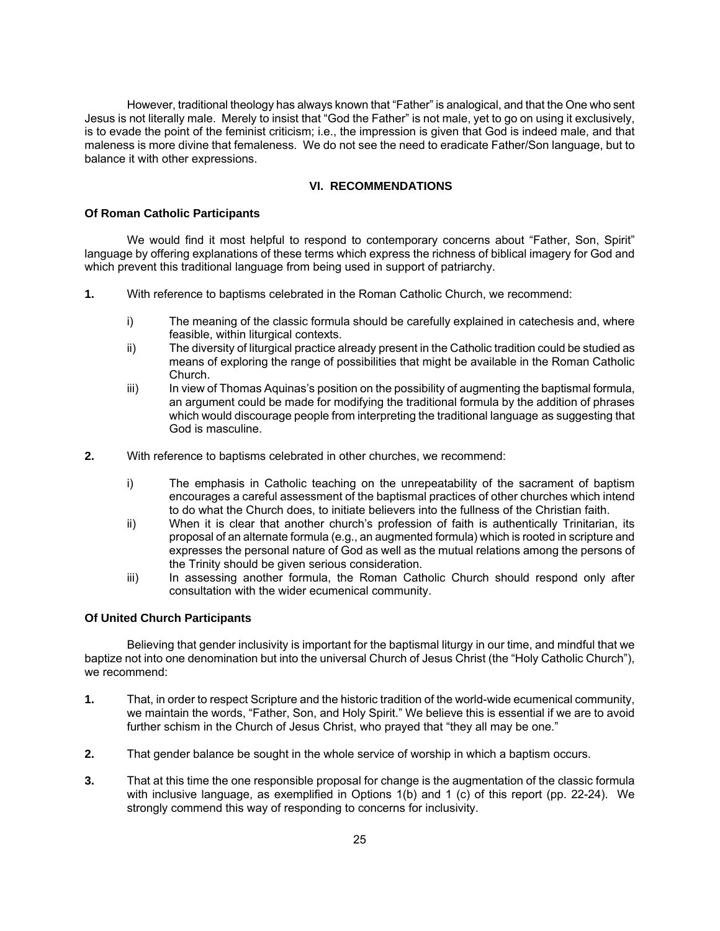However, traditional theology has always known that "Father" is analogical, and that the One who sent Jesus is not literally male. Merely to insist that "God the Father" is not male, yet to go on using it exclusively, is to evade the point of the feminist criticism; i.e., the impression is given that God is indeed male, and that maleness is more divine that femaleness. We do not see the need to eradicate Father/Son language, but to balance it with other expressions.

### **VI. RECOMMENDATIONS**

### **Of Roman Catholic Participants**

We would find it most helpful to respond to contemporary concerns about "Father, Son, Spirit" language by offering explanations of these terms which express the richness of biblical imagery for God and which prevent this traditional language from being used in support of patriarchy.

- **1.** With reference to baptisms celebrated in the Roman Catholic Church, we recommend:
	- i) The meaning of the classic formula should be carefully explained in catechesis and, where feasible, within liturgical contexts.
	- ii) The diversity of liturgical practice already present in the Catholic tradition could be studied as means of exploring the range of possibilities that might be available in the Roman Catholic Church.
	- iii) In view of Thomas Aquinas's position on the possibility of augmenting the baptismal formula, an argument could be made for modifying the traditional formula by the addition of phrases which would discourage people from interpreting the traditional language as suggesting that God is masculine.
- **2.** With reference to baptisms celebrated in other churches, we recommend:
	- i) The emphasis in Catholic teaching on the unrepeatability of the sacrament of baptism encourages a careful assessment of the baptismal practices of other churches which intend to do what the Church does, to initiate believers into the fullness of the Christian faith.
	- ii) When it is clear that another church's profession of faith is authentically Trinitarian, its proposal of an alternate formula (e.g., an augmented formula) which is rooted in scripture and expresses the personal nature of God as well as the mutual relations among the persons of the Trinity should be given serious consideration.
	- iii) In assessing another formula, the Roman Catholic Church should respond only after consultation with the wider ecumenical community.

### **Of United Church Participants**

Believing that gender inclusivity is important for the baptismal liturgy in our time, and mindful that we baptize not into one denomination but into the universal Church of Jesus Christ (the "Holy Catholic Church"), we recommend:

- **1.** That, in order to respect Scripture and the historic tradition of the world-wide ecumenical community, we maintain the words, "Father, Son, and Holy Spirit." We believe this is essential if we are to avoid further schism in the Church of Jesus Christ, who prayed that "they all may be one."
- **2.** That gender balance be sought in the whole service of worship in which a baptism occurs.
- **3.** That at this time the one responsible proposal for change is the augmentation of the classic formula with inclusive language, as exemplified in Options 1(b) and 1 (c) of this report (pp. 22-24). We strongly commend this way of responding to concerns for inclusivity.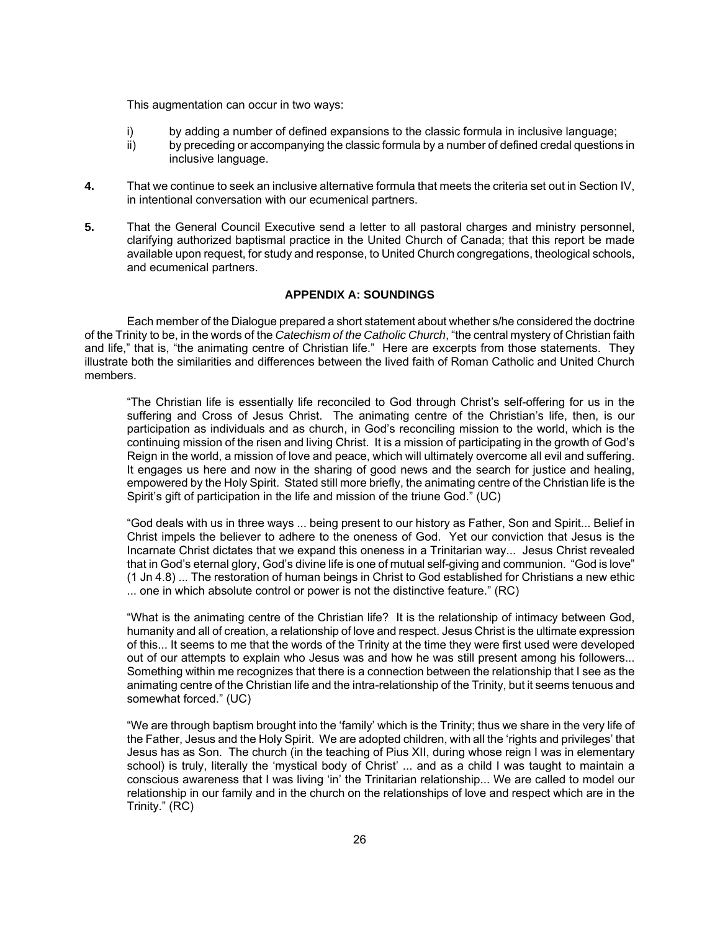This augmentation can occur in two ways:

- i) by adding a number of defined expansions to the classic formula in inclusive language;
- ii) by preceding or accompanying the classic formula by a number of defined credal questions in inclusive language.
- **4.** That we continue to seek an inclusive alternative formula that meets the criteria set out in Section IV, in intentional conversation with our ecumenical partners.
- **5.** That the General Council Executive send a letter to all pastoral charges and ministry personnel, clarifying authorized baptismal practice in the United Church of Canada; that this report be made available upon request, for study and response, to United Church congregations, theological schools, and ecumenical partners.

### **APPENDIX A: SOUNDINGS**

Each member of the Dialogue prepared a short statement about whether s/he considered the doctrine of the Trinity to be, in the words of the *Catechism of the Catholic Church*, "the central mystery of Christian faith and life," that is, "the animating centre of Christian life." Here are excerpts from those statements. They illustrate both the similarities and differences between the lived faith of Roman Catholic and United Church members.

"The Christian life is essentially life reconciled to God through Christ's self-offering for us in the suffering and Cross of Jesus Christ. The animating centre of the Christian's life, then, is our participation as individuals and as church, in God's reconciling mission to the world, which is the continuing mission of the risen and living Christ. It is a mission of participating in the growth of God's Reign in the world, a mission of love and peace, which will ultimately overcome all evil and suffering. It engages us here and now in the sharing of good news and the search for justice and healing, empowered by the Holy Spirit. Stated still more briefly, the animating centre of the Christian life is the Spirit's gift of participation in the life and mission of the triune God." (UC)

"God deals with us in three ways ... being present to our history as Father, Son and Spirit... Belief in Christ impels the believer to adhere to the oneness of God. Yet our conviction that Jesus is the Incarnate Christ dictates that we expand this oneness in a Trinitarian way... Jesus Christ revealed that in God's eternal glory, God's divine life is one of mutual self-giving and communion. "God is love" (1 Jn 4.8) ... The restoration of human beings in Christ to God established for Christians a new ethic ... one in which absolute control or power is not the distinctive feature." (RC)

"What is the animating centre of the Christian life? It is the relationship of intimacy between God, humanity and all of creation, a relationship of love and respect. Jesus Christ is the ultimate expression of this... It seems to me that the words of the Trinity at the time they were first used were developed out of our attempts to explain who Jesus was and how he was still present among his followers... Something within me recognizes that there is a connection between the relationship that I see as the animating centre of the Christian life and the intra-relationship of the Trinity, but it seems tenuous and somewhat forced." (UC)

"We are through baptism brought into the 'family' which is the Trinity; thus we share in the very life of the Father, Jesus and the Holy Spirit. We are adopted children, with all the 'rights and privileges' that Jesus has as Son. The church (in the teaching of Pius XII, during whose reign I was in elementary school) is truly, literally the 'mystical body of Christ' ... and as a child I was taught to maintain a conscious awareness that I was living 'in' the Trinitarian relationship... We are called to model our relationship in our family and in the church on the relationships of love and respect which are in the Trinity." (RC)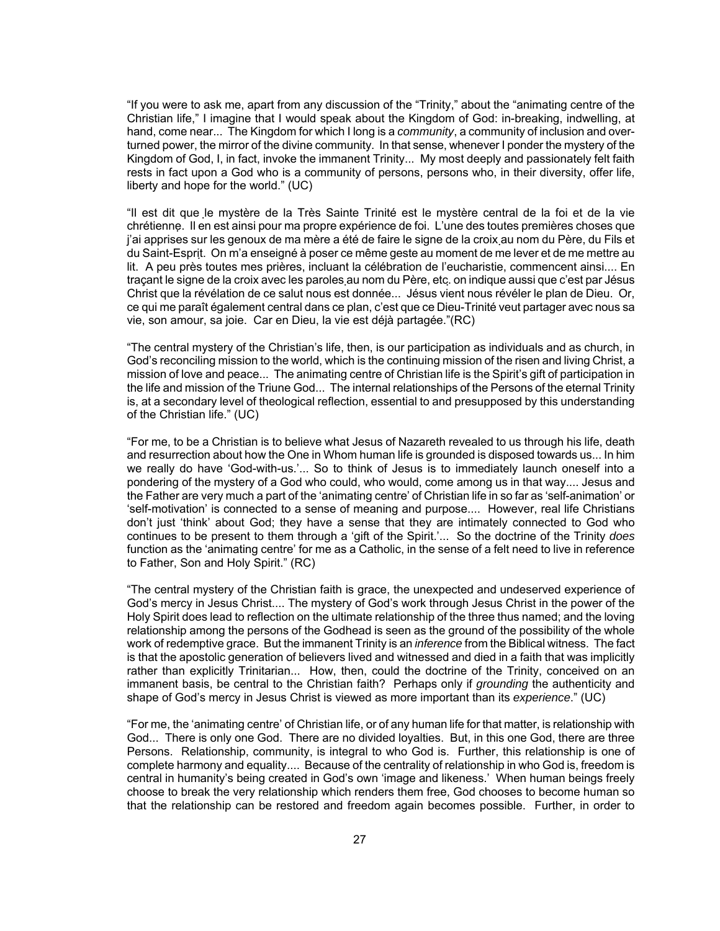"If you were to ask me, apart from any discussion of the "Trinity," about the "animating centre of the Christian life," I imagine that I would speak about the Kingdom of God: in-breaking, indwelling, at hand, come near... The Kingdom for which I long is a *community*, a community of inclusion and overturned power, the mirror of the divine community. In that sense, whenever I ponder the mystery of the Kingdom of God, I, in fact, invoke the immanent Trinity... My most deeply and passionately felt faith rests in fact upon a God who is a community of persons, persons who, in their diversity, offer life, liberty and hope for the world." (UC)

"Il est dit que le mystère de la Très Sainte Trinité est le mystère central de la foi et de la vie chrétienne. Il en est ainsi pour ma propre expérience de foi. L'une des toutes premières choses que j'ai apprises sur les genoux de ma mère a été de faire le signe de la croix au nom du Père, du Fils et du Saint-Esprit. On m'a enseigné à poser ce même geste au moment de me lever et de me mettre au lit. A peu près toutes mes prières, incluant la célébration de l'eucharistie, commencent ainsi.... En traçant le signe de la croix avec les paroles au nom du Père, etc. on indique aussi que c'est par Jésus Christ que la révélation de ce salut nous est donnée... Jésus vient nous révéler le plan de Dieu. Or, ce qui me paraît également central dans ce plan, c'est que ce Dieu-Trinité veut partager avec nous sa vie, son amour, sa joie. Car en Dieu, la vie est déjà partagée."(RC)

"The central mystery of the Christian's life, then, is our participation as individuals and as church, in God's reconciling mission to the world, which is the continuing mission of the risen and living Christ, a mission of love and peace... The animating centre of Christian life is the Spirit's gift of participation in the life and mission of the Triune God... The internal relationships of the Persons of the eternal Trinity is, at a secondary level of theological reflection, essential to and presupposed by this understanding of the Christian life." (UC)

"For me, to be a Christian is to believe what Jesus of Nazareth revealed to us through his life, death and resurrection about how the One in Whom human life is grounded is disposed towards us... In him we really do have 'God-with-us.'... So to think of Jesus is to immediately launch oneself into a pondering of the mystery of a God who could, who would, come among us in that way.... Jesus and the Father are very much a part of the 'animating centre' of Christian life in so far as 'self-animation' or 'self-motivation' is connected to a sense of meaning and purpose.... However, real life Christians don't just 'think' about God; they have a sense that they are intimately connected to God who continues to be present to them through a 'gift of the Spirit.'... So the doctrine of the Trinity *does* function as the 'animating centre' for me as a Catholic, in the sense of a felt need to live in reference to Father, Son and Holy Spirit." (RC)

"The central mystery of the Christian faith is grace, the unexpected and undeserved experience of God's mercy in Jesus Christ.... The mystery of God's work through Jesus Christ in the power of the Holy Spirit does lead to reflection on the ultimate relationship of the three thus named; and the loving relationship among the persons of the Godhead is seen as the ground of the possibility of the whole work of redemptive grace. But the immanent Trinity is an *inference* from the Biblical witness. The fact is that the apostolic generation of believers lived and witnessed and died in a faith that was implicitly rather than explicitly Trinitarian... How, then, could the doctrine of the Trinity, conceived on an immanent basis, be central to the Christian faith? Perhaps only if *grounding* the authenticity and shape of God's mercy in Jesus Christ is viewed as more important than its *experience*." (UC)

"For me, the 'animating centre' of Christian life, or of any human life for that matter, is relationship with God... There is only one God. There are no divided loyalties. But, in this one God, there are three Persons. Relationship, community, is integral to who God is. Further, this relationship is one of complete harmony and equality.... Because of the centrality of relationship in who God is, freedom is central in humanity's being created in God's own 'image and likeness.' When human beings freely choose to break the very relationship which renders them free, God chooses to become human so that the relationship can be restored and freedom again becomes possible. Further, in order to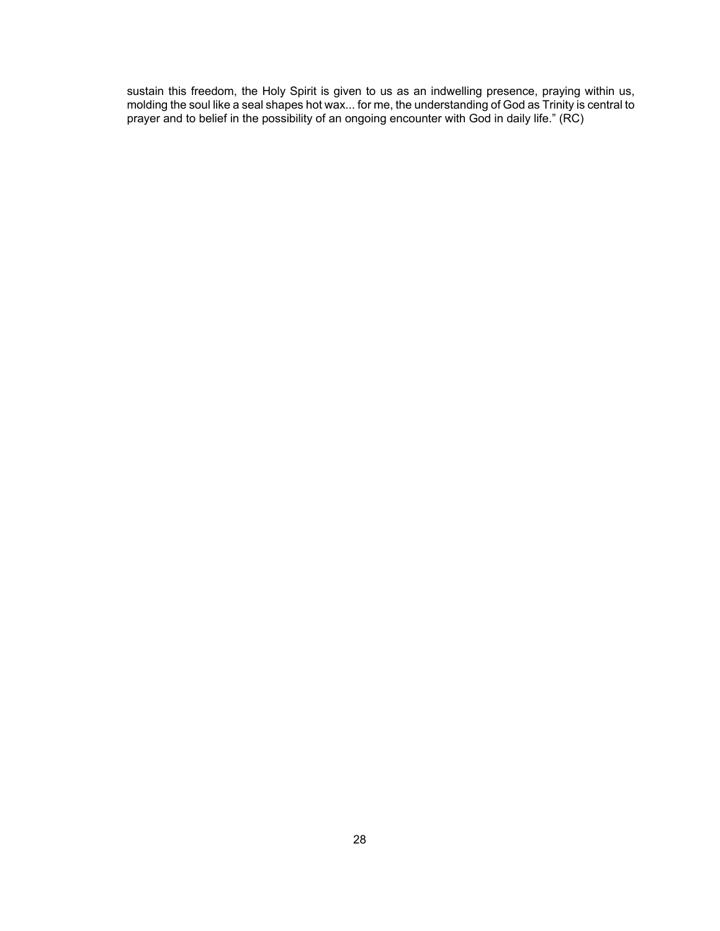sustain this freedom, the Holy Spirit is given to us as an indwelling presence, praying within us, molding the soul like a seal shapes hot wax... for me, the understanding of God as Trinity is central to prayer and to belief in the possibility of an ongoing encounter with God in daily life." (RC)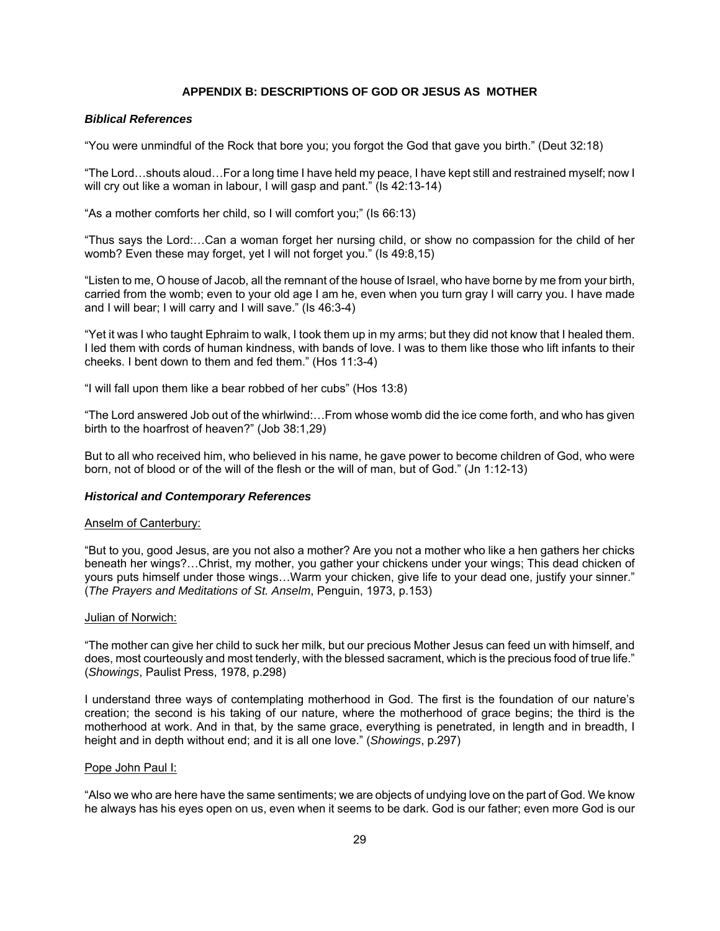# **APPENDIX B: DESCRIPTIONS OF GOD OR JESUS AS MOTHER**

### *Biblical References*

"You were unmindful of the Rock that bore you; you forgot the God that gave you birth." (Deut 32:18)

"The Lord…shouts aloud…For a long time I have held my peace, I have kept still and restrained myself; now I will cry out like a woman in labour, I will gasp and pant." (Is 42:13-14)

"As a mother comforts her child, so I will comfort you;" (Is 66:13)

"Thus says the Lord:…Can a woman forget her nursing child, or show no compassion for the child of her womb? Even these may forget, yet I will not forget you." (Is 49:8,15)

"Listen to me, O house of Jacob, all the remnant of the house of Israel, who have borne by me from your birth, carried from the womb; even to your old age I am he, even when you turn gray I will carry you. I have made and I will bear; I will carry and I will save." (Is 46:3-4)

"Yet it was I who taught Ephraim to walk, I took them up in my arms; but they did not know that I healed them. I led them with cords of human kindness, with bands of love. I was to them like those who lift infants to their cheeks. I bent down to them and fed them." (Hos 11:3-4)

"I will fall upon them like a bear robbed of her cubs" (Hos 13:8)

"The Lord answered Job out of the whirlwind:…From whose womb did the ice come forth, and who has given birth to the hoarfrost of heaven?" (Job 38:1,29)

But to all who received him, who believed in his name, he gave power to become children of God, who were born, not of blood or of the will of the flesh or the will of man, but of God." (Jn 1:12-13)

#### *Historical and Contemporary References*

### Anselm of Canterbury:

"But to you, good Jesus, are you not also a mother? Are you not a mother who like a hen gathers her chicks beneath her wings?…Christ, my mother, you gather your chickens under your wings; This dead chicken of yours puts himself under those wings…Warm your chicken, give life to your dead one, justify your sinner." (*The Prayers and Meditations of St. Anselm*, Penguin, 1973, p.153)

#### Julian of Norwich:

"The mother can give her child to suck her milk, but our precious Mother Jesus can feed un with himself, and does, most courteously and most tenderly, with the blessed sacrament, which is the precious food of true life." (*Showings*, Paulist Press, 1978, p.298)

I understand three ways of contemplating motherhood in God. The first is the foundation of our nature's creation; the second is his taking of our nature, where the motherhood of grace begins; the third is the motherhood at work. And in that, by the same grace, everything is penetrated, in length and in breadth, I height and in depth without end; and it is all one love." (*Showings*, p.297)

#### Pope John Paul I:

"Also we who are here have the same sentiments; we are objects of undying love on the part of God. We know he always has his eyes open on us, even when it seems to be dark. God is our father; even more God is our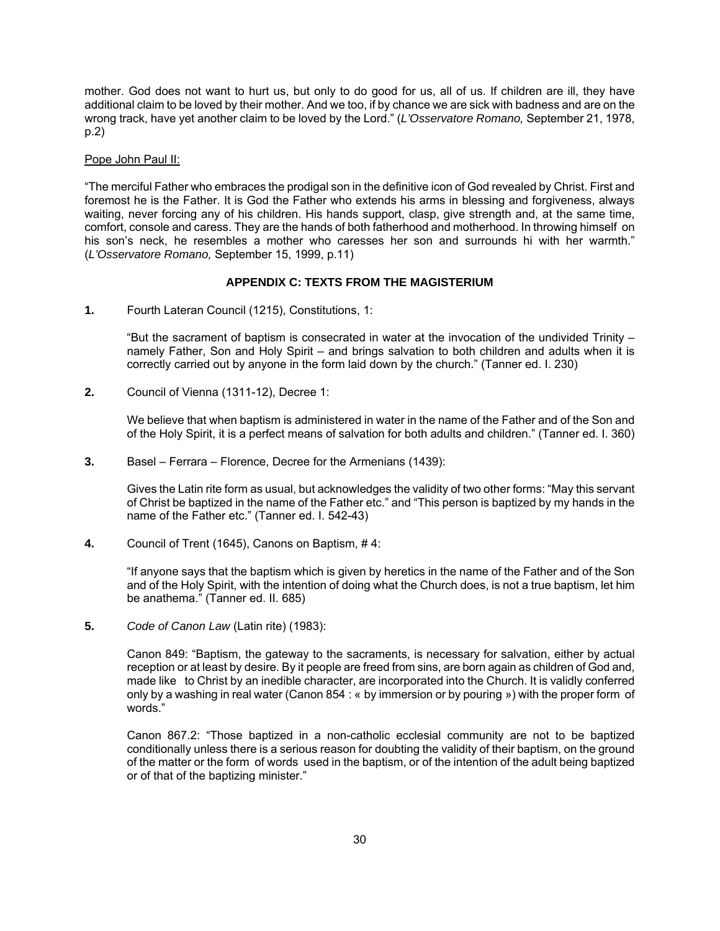mother. God does not want to hurt us, but only to do good for us, all of us. If children are ill, they have additional claim to be loved by their mother. And we too, if by chance we are sick with badness and are on the wrong track, have yet another claim to be loved by the Lord." (*L'Osservatore Romano,* September 21, 1978, p.2)

# Pope John Paul II:

"The merciful Father who embraces the prodigal son in the definitive icon of God revealed by Christ. First and foremost he is the Father. It is God the Father who extends his arms in blessing and forgiveness, always waiting, never forcing any of his children. His hands support, clasp, give strength and, at the same time, comfort, console and caress. They are the hands of both fatherhood and motherhood. In throwing himself on his son's neck, he resembles a mother who caresses her son and surrounds hi with her warmth." (*L'Osservatore Romano,* September 15, 1999, p.11)

# **APPENDIX C: TEXTS FROM THE MAGISTERIUM**

**1.** Fourth Lateran Council (1215), Constitutions, 1:

"But the sacrament of baptism is consecrated in water at the invocation of the undivided Trinity – namely Father, Son and Holy Spirit – and brings salvation to both children and adults when it is correctly carried out by anyone in the form laid down by the church." (Tanner ed. I. 230)

**2.** Council of Vienna (1311-12), Decree 1:

We believe that when baptism is administered in water in the name of the Father and of the Son and of the Holy Spirit, it is a perfect means of salvation for both adults and children." (Tanner ed. I. 360)

**3.** Basel – Ferrara – Florence, Decree for the Armenians (1439):

Gives the Latin rite form as usual, but acknowledges the validity of two other forms: "May this servant of Christ be baptized in the name of the Father etc." and "This person is baptized by my hands in the name of the Father etc." (Tanner ed. I. 542-43)

**4.** Council of Trent (1645), Canons on Baptism, # 4:

"If anyone says that the baptism which is given by heretics in the name of the Father and of the Son and of the Holy Spirit, with the intention of doing what the Church does, is not a true baptism, let him be anathema." (Tanner ed. II. 685)

**5.** *Code of Canon Law* (Latin rite) (1983):

Canon 849: "Baptism, the gateway to the sacraments, is necessary for salvation, either by actual reception or at least by desire. By it people are freed from sins, are born again as children of God and, made like to Christ by an inedible character, are incorporated into the Church. It is validly conferred only by a washing in real water (Canon 854 : « by immersion or by pouring ») with the proper form of words."

Canon 867.2: "Those baptized in a non-catholic ecclesial community are not to be baptized conditionally unless there is a serious reason for doubting the validity of their baptism, on the ground of the matter or the form of words used in the baptism, or of the intention of the adult being baptized or of that of the baptizing minister."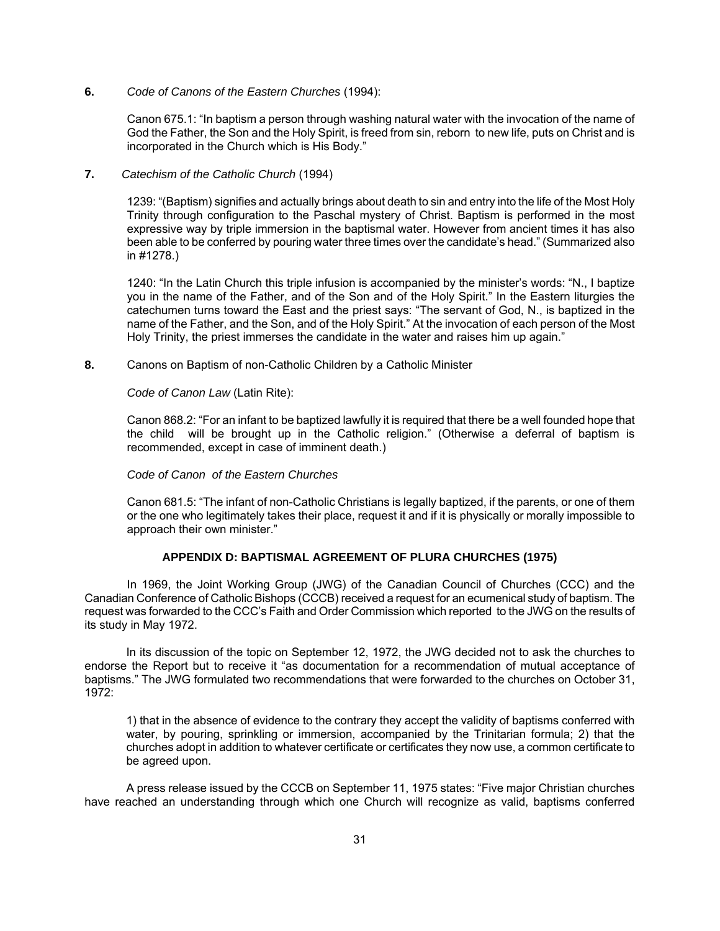**6.** *Code of Canons of the Eastern Churches* (1994):

Canon 675.1: "In baptism a person through washing natural water with the invocation of the name of God the Father, the Son and the Holy Spirit, is freed from sin, reborn to new life, puts on Christ and is incorporated in the Church which is His Body."

**7.** *Catechism of the Catholic Church* (1994)

1239: "(Baptism) signifies and actually brings about death to sin and entry into the life of the Most Holy Trinity through configuration to the Paschal mystery of Christ. Baptism is performed in the most expressive way by triple immersion in the baptismal water. However from ancient times it has also been able to be conferred by pouring water three times over the candidate's head." (Summarized also in #1278.)

1240: "In the Latin Church this triple infusion is accompanied by the minister's words: "N., I baptize you in the name of the Father, and of the Son and of the Holy Spirit." In the Eastern liturgies the catechumen turns toward the East and the priest says: "The servant of God, N., is baptized in the name of the Father, and the Son, and of the Holy Spirit." At the invocation of each person of the Most Holy Trinity, the priest immerses the candidate in the water and raises him up again."

**8.** Canons on Baptism of non-Catholic Children by a Catholic Minister

*Code of Canon Law* (Latin Rite):

Canon 868.2: "For an infant to be baptized lawfully it is required that there be a well founded hope that the child will be brought up in the Catholic religion." (Otherwise a deferral of baptism is recommended, except in case of imminent death.)

# *Code of Canon of the Eastern Churches*

Canon 681.5: "The infant of non-Catholic Christians is legally baptized, if the parents, or one of them or the one who legitimately takes their place, request it and if it is physically or morally impossible to approach their own minister."

# **APPENDIX D: BAPTISMAL AGREEMENT OF PLURA CHURCHES (1975)**

In 1969, the Joint Working Group (JWG) of the Canadian Council of Churches (CCC) and the Canadian Conference of Catholic Bishops (CCCB) received a request for an ecumenical study of baptism. The request was forwarded to the CCC's Faith and Order Commission which reported to the JWG on the results of its study in May 1972.

In its discussion of the topic on September 12, 1972, the JWG decided not to ask the churches to endorse the Report but to receive it "as documentation for a recommendation of mutual acceptance of baptisms." The JWG formulated two recommendations that were forwarded to the churches on October 31, 1972:

1) that in the absence of evidence to the contrary they accept the validity of baptisms conferred with water, by pouring, sprinkling or immersion, accompanied by the Trinitarian formula; 2) that the churches adopt in addition to whatever certificate or certificates they now use, a common certificate to be agreed upon.

A press release issued by the CCCB on September 11, 1975 states: "Five major Christian churches have reached an understanding through which one Church will recognize as valid, baptisms conferred